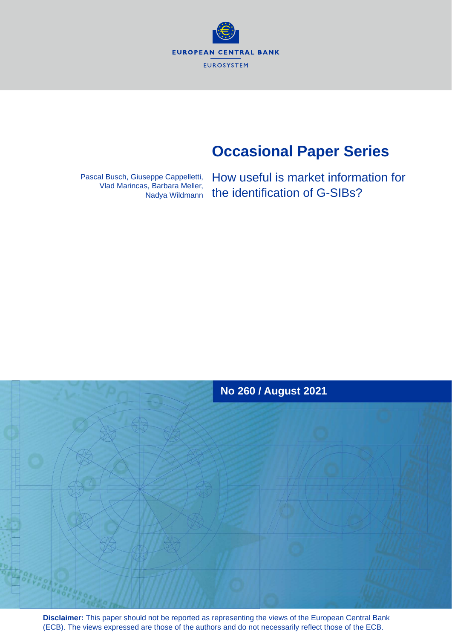**EUROPEAN CENTRAL BANK EUROSYSTEM** 

# **Occasional Paper Series**

Pascal Busch, Giuseppe Cappelletti, Vlad Marincas, Barbara Meller, Nadya Wildmann How useful is market information for the identification of G-SIBs?



**Disclaimer:** This paper should not be reported as representing the views of the European Central Bank (ECB). The views expressed are those of the authors and do not necessarily reflect those of the ECB.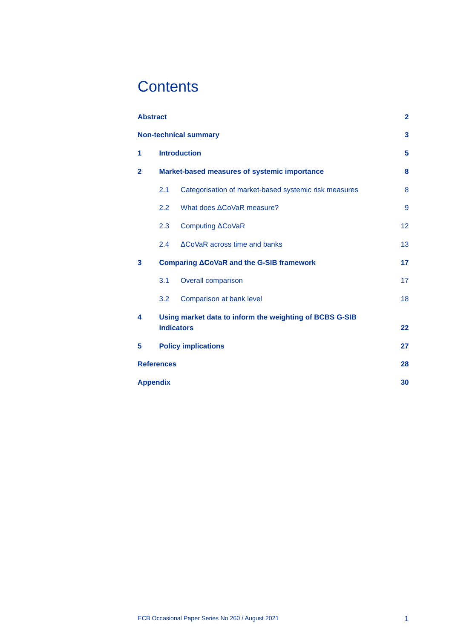# **Contents**

| <b>Abstract</b>                 |                                              |                                                         | $\overline{2}$          |  |  |  |  |
|---------------------------------|----------------------------------------------|---------------------------------------------------------|-------------------------|--|--|--|--|
|                                 |                                              | <b>Non-technical summary</b>                            | $\overline{\mathbf{3}}$ |  |  |  |  |
| 1                               |                                              | <b>Introduction</b>                                     |                         |  |  |  |  |
| $\mathbf{2}$                    | Market-based measures of systemic importance |                                                         |                         |  |  |  |  |
|                                 | 2.1                                          | Categorisation of market-based systemic risk measures   | 8                       |  |  |  |  |
|                                 | 2.2                                          | What does ACoVaR measure?                               | 9                       |  |  |  |  |
|                                 | 2.3                                          | Computing <b>ACoVaR</b>                                 | 12                      |  |  |  |  |
|                                 | 2.4                                          | ΔCoVaR across time and banks                            | 13                      |  |  |  |  |
| 3                               |                                              | Comparing <b>ACoVaR</b> and the G-SIB framework         | 17                      |  |  |  |  |
|                                 | 3.1                                          | <b>Overall comparison</b>                               | 17                      |  |  |  |  |
|                                 | 3.2                                          | Comparison at bank level                                | 18                      |  |  |  |  |
| 4                               |                                              | Using market data to inform the weighting of BCBS G-SIB |                         |  |  |  |  |
|                                 |                                              | <b>indicators</b>                                       | 22                      |  |  |  |  |
| <b>Policy implications</b><br>5 |                                              |                                                         |                         |  |  |  |  |
|                                 | <b>References</b>                            |                                                         | 28                      |  |  |  |  |
|                                 | <b>Appendix</b>                              |                                                         | 30                      |  |  |  |  |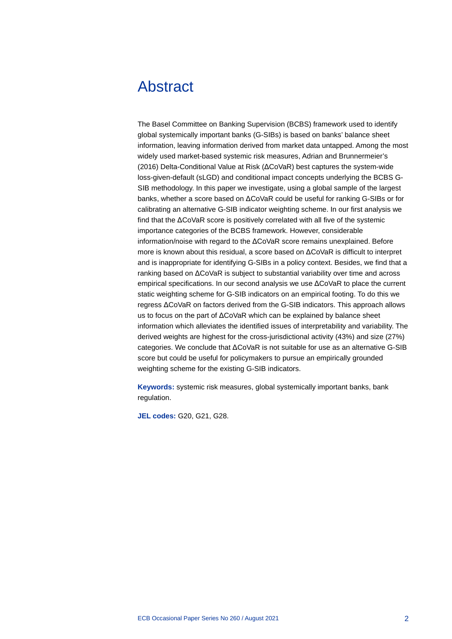## <span id="page-2-0"></span>Abstract

The Basel Committee on Banking Supervision (BCBS) framework used to identify global systemically important banks (G-SIBs) is based on banks' balance sheet information, leaving information derived from market data untapped. Among the most widely used market-based systemic risk measures, Adrian and Brunnermeier's (2016) Delta-Conditional Value at Risk (ΔCoVaR) best captures the system-wide loss-given-default (sLGD) and conditional impact concepts underlying the BCBS G-SIB methodology. In this paper we investigate, using a global sample of the largest banks, whether a score based on ΔCoVaR could be useful for ranking G-SIBs or for calibrating an alternative G-SIB indicator weighting scheme. In our first analysis we find that the ΔCoVaR score is positively correlated with all five of the systemic importance categories of the BCBS framework. However, considerable information/noise with regard to the ΔCoVaR score remains unexplained. Before more is known about this residual, a score based on ΔCoVaR is difficult to interpret and is inappropriate for identifying G-SIBs in a policy context. Besides, we find that a ranking based on ΔCoVaR is subject to substantial variability over time and across empirical specifications. In our second analysis we use ΔCoVaR to place the current static weighting scheme for G-SIB indicators on an empirical footing. To do this we regress ΔCoVaR on factors derived from the G-SIB indicators. This approach allows us to focus on the part of ΔCoVaR which can be explained by balance sheet information which alleviates the identified issues of interpretability and variability. The derived weights are highest for the cross-jurisdictional activity (43%) and size (27%) categories. We conclude that ΔCoVaR is not suitable for use as an alternative G-SIB score but could be useful for policymakers to pursue an empirically grounded weighting scheme for the existing G-SIB indicators.

**Keywords:** systemic risk measures, global systemically important banks, bank regulation.

**JEL codes:** G20, G21, G28.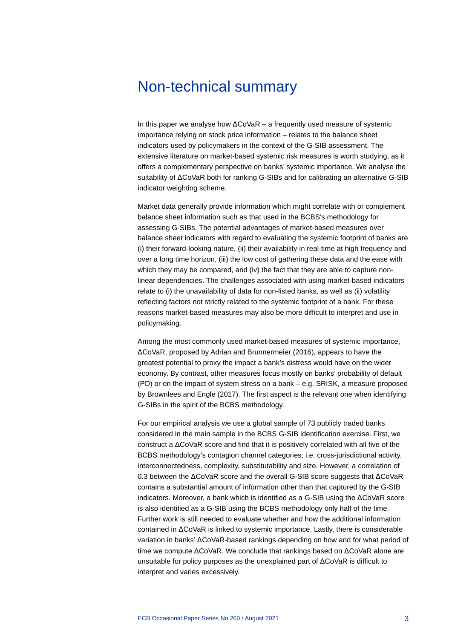## <span id="page-3-0"></span>Non-technical summary

In this paper we analyse how ΔCoVaR – a frequently used measure of systemic importance relying on stock price information – relates to the balance sheet indicators used by policymakers in the context of the G-SIB assessment. The extensive literature on market-based systemic risk measures is worth studying, as it offers a complementary perspective on banks' systemic importance. We analyse the suitability of ΔCoVaR both for ranking G-SIBs and for calibrating an alternative G-SIB indicator weighting scheme.

Market data generally provide information which might correlate with or complement balance sheet information such as that used in the BCBS's methodology for assessing G-SIBs. The potential advantages of market-based measures over balance sheet indicators with regard to evaluating the systemic footprint of banks are (i) their forward-looking nature, (ii) their availability in real-time at high frequency and over a long time horizon, (iii) the low cost of gathering these data and the ease with which they may be compared, and (iv) the fact that they are able to capture nonlinear dependencies. The challenges associated with using market-based indicators relate to (i) the unavailability of data for non-listed banks, as well as (ii) volatility reflecting factors not strictly related to the systemic footprint of a bank. For these reasons market-based measures may also be more difficult to interpret and use in policymaking.

Among the most commonly used market-based measures of systemic importance, ΔCoVaR, proposed by Adrian and Brunnermeier (2016), appears to have the greatest potential to proxy the impact a bank's distress would have on the wider economy. By contrast, other measures focus mostly on banks' probability of default (PD) or on the impact of system stress on a bank – e.g. SRISK, a measure proposed by Brownlees and Engle (2017). The first aspect is the relevant one when identifying G-SIBs in the spirit of the BCBS methodology.

For our empirical analysis we use a global sample of 73 publicly traded banks considered in the main sample in the BCBS G-SIB identification exercise. First, we construct a ΔCoVaR score and find that it is positively correlated with all five of the BCBS methodology's contagion channel categories, i.e. cross-jurisdictional activity, interconnectedness, complexity, substitutability and size. However, a correlation of 0.3 between the ΔCoVaR score and the overall G-SIB score suggests that ΔCoVaR contains a substantial amount of information other than that captured by the G-SIB indicators. Moreover, a bank which is identified as a G-SIB using the ΔCoVaR score is also identified as a G-SIB using the BCBS methodology only half of the time. Further work is still needed to evaluate whether and how the additional information contained in ΔCoVaR is linked to systemic importance. Lastly, there is considerable variation in banks' ΔCoVaR-based rankings depending on how and for what period of time we compute ΔCoVaR. We conclude that rankings based on ΔCoVaR alone are unsuitable for policy purposes as the unexplained part of ΔCoVaR is difficult to interpret and varies excessively.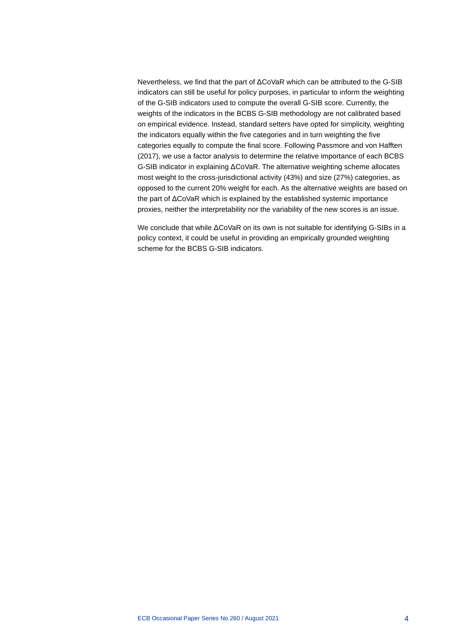Nevertheless, we find that the part of ΔCoVaR which can be attributed to the G-SIB indicators can still be useful for policy purposes, in particular to inform the weighting of the G-SIB indicators used to compute the overall G-SIB score. Currently, the weights of the indicators in the BCBS G-SIB methodology are not calibrated based on empirical evidence. Instead, standard setters have opted for simplicity, weighting the indicators equally within the five categories and in turn weighting the five categories equally to compute the final score. Following Passmore and von Hafften (2017), we use a factor analysis to determine the relative importance of each BCBS G-SIB indicator in explaining ΔCoVaR. The alternative weighting scheme allocates most weight to the cross-jurisdictional activity (43%) and size (27%) categories, as opposed to the current 20% weight for each. As the alternative weights are based on the part of ΔCoVaR which is explained by the established systemic importance proxies, neither the interpretability nor the variability of the new scores is an issue.

We conclude that while ΔCoVaR on its own is not suitable for identifying G-SIBs in a policy context, it could be useful in providing an empirically grounded weighting scheme for the BCBS G-SIB indicators.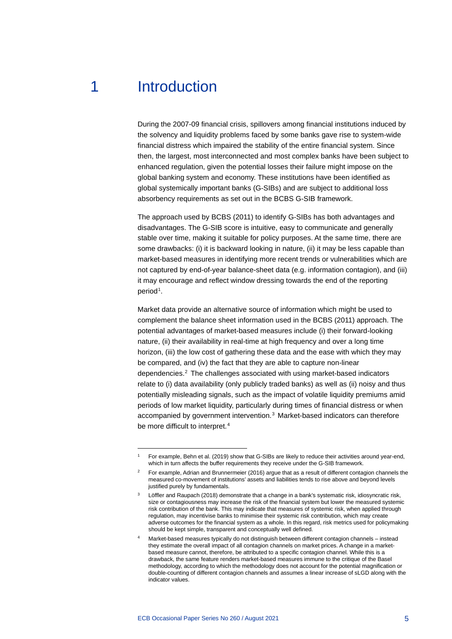## 1 Introduction

<span id="page-5-0"></span>During the 2007-09 financial crisis, spillovers among financial institutions induced by the solvency and liquidity problems faced by some banks gave rise to system-wide financial distress which impaired the stability of the entire financial system. Since then, the largest, most interconnected and most complex banks have been subject to enhanced regulation, given the potential losses their failure might impose on the global banking system and economy. These institutions have been identified as global systemically important banks (G-SIBs) and are subject to additional loss absorbency requirements as set out in the BCBS G-SIB framework.

The approach used by BCBS (2011) to identify G-SIBs has both advantages and disadvantages. The G-SIB score is intuitive, easy to communicate and generally stable over time, making it suitable for policy purposes. At the same time, there are some drawbacks: (i) it is backward looking in nature, (ii) it may be less capable than market-based measures in identifying more recent trends or vulnerabilities which are not captured by end-of-year balance-sheet data (e.g. information contagion), and (iii) it may encourage and reflect window dressing towards the end of the reporting period<sup>[1](#page-5-1)</sup>.

Market data provide an alternative source of information which might be used to complement the balance sheet information used in the BCBS (2011) approach. The potential advantages of market-based measures include (i) their forward-looking nature, (ii) their availability in real-time at high frequency and over a long time horizon, (iii) the low cost of gathering these data and the ease with which they may be compared, and (iv) the fact that they are able to capture non-linear dependencies.[2](#page-5-2) The challenges associated with using market-based indicators relate to (i) data availability (only publicly traded banks) as well as (ii) noisy and thus potentially misleading signals, such as the impact of volatile liquidity premiums amid periods of low market liquidity, particularly during times of financial distress or when accompanied by government intervention.[3](#page-5-3) Market-based indicators can therefore be more difficult to interpret.<sup>[4](#page-5-4)</sup>

<sup>1</sup> For example, Behn et al. (2019) show that G-SIBs are likely to reduce their activities around year-end, which in turn affects the buffer requirements they receive under the G-SIB framework.

<span id="page-5-2"></span><span id="page-5-1"></span><sup>2</sup> For example, Adrian and Brunnermeier (2016) argue that as a result of different contagion channels the measured co-movement of institutions' assets and liabilities tends to rise above and beyond levels justified purely by fundamentals.

<span id="page-5-3"></span>Löffler and Raupach (2018) demonstrate that a change in a bank's systematic risk, idiosyncratic risk, size or contagiousness may increase the risk of the financial system but lower the measured systemic risk contribution of the bank. This may indicate that measures of systemic risk, when applied through regulation, may incentivise banks to minimise their systemic risk contribution, which may create adverse outcomes for the financial system as a whole. In this regard, risk metrics used for policymaking should be kept simple, transparent and conceptually well defined.

<span id="page-5-4"></span>Market-based measures typically do not distinguish between different contagion channels - instead they estimate the overall impact of all contagion channels on market prices. A change in a marketbased measure cannot, therefore, be attributed to a specific contagion channel. While this is a drawback, the same feature renders market-based measures immune to the critique of the Basel methodology, according to which the methodology does not account for the potential magnification or double-counting of different contagion channels and assumes a linear increase of sLGD along with the indicator values.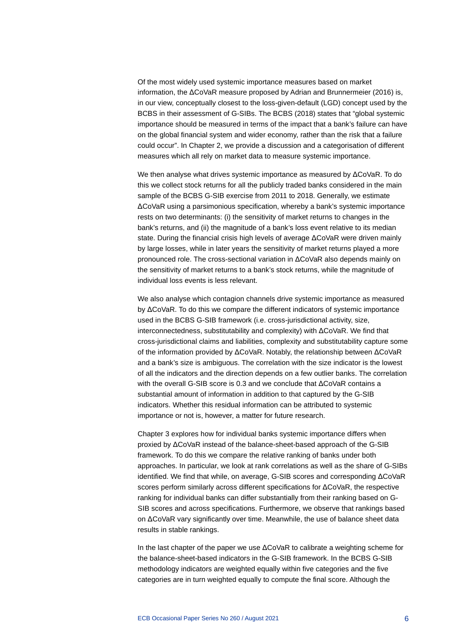Of the most widely used systemic importance measures based on market information, the ΔCoVaR measure proposed by Adrian and Brunnermeier (2016) is, in our view, conceptually closest to the loss-given-default (LGD) concept used by the BCBS in their assessment of G-SIBs. The BCBS (2018) states that "global systemic importance should be measured in terms of the impact that a bank's failure can have on the global financial system and wider economy, rather than the risk that a failure could occur". In Chapter 2, we provide a discussion and a categorisation of different measures which all rely on market data to measure systemic importance.

We then analyse what drives systemic importance as measured by ΔCoVaR. To do this we collect stock returns for all the publicly traded banks considered in the main sample of the BCBS G-SIB exercise from 2011 to 2018. Generally, we estimate ΔCoVaR using a parsimonious specification, whereby a bank's systemic importance rests on two determinants: (i) the sensitivity of market returns to changes in the bank's returns, and (ii) the magnitude of a bank's loss event relative to its median state. During the financial crisis high levels of average ΔCoVaR were driven mainly by large losses, while in later years the sensitivity of market returns played a more pronounced role. The cross-sectional variation in ΔCoVaR also depends mainly on the sensitivity of market returns to a bank's stock returns, while the magnitude of individual loss events is less relevant.

We also analyse which contagion channels drive systemic importance as measured by ΔCoVaR. To do this we compare the different indicators of systemic importance used in the BCBS G-SIB framework (i.e. cross-jurisdictional activity, size, interconnectedness, substitutability and complexity) with ΔCoVaR. We find that cross-jurisdictional claims and liabilities, complexity and substitutability capture some of the information provided by ΔCoVaR. Notably, the relationship between ΔCoVaR and a bank's size is ambiguous. The correlation with the size indicator is the lowest of all the indicators and the direction depends on a few outlier banks. The correlation with the overall G-SIB score is 0.3 and we conclude that ΔCoVaR contains a substantial amount of information in addition to that captured by the G-SIB indicators. Whether this residual information can be attributed to systemic importance or not is, however, a matter for future research.

Chapter 3 explores how for individual banks systemic importance differs when proxied by ΔCoVaR instead of the balance-sheet-based approach of the G-SIB framework. To do this we compare the relative ranking of banks under both approaches. In particular, we look at rank correlations as well as the share of G-SIBs identified. We find that while, on average, G-SIB scores and corresponding ΔCoVaR scores perform similarly across different specifications for ΔCoVaR, the respective ranking for individual banks can differ substantially from their ranking based on G-SIB scores and across specifications. Furthermore, we observe that rankings based on ΔCoVaR vary significantly over time. Meanwhile, the use of balance sheet data results in stable rankings.

In the last chapter of the paper we use ΔCoVaR to calibrate a weighting scheme for the balance-sheet-based indicators in the G-SIB framework. In the BCBS G-SIB methodology indicators are weighted equally within five categories and the five categories are in turn weighted equally to compute the final score. Although the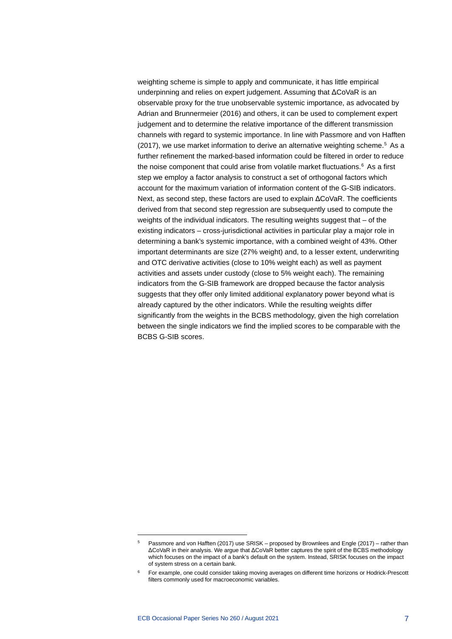weighting scheme is simple to apply and communicate, it has little empirical underpinning and relies on expert judgement. Assuming that ΔCoVaR is an observable proxy for the true unobservable systemic importance, as advocated by Adrian and Brunnermeier (2016) and others, it can be used to complement expert judgement and to determine the relative importance of the different transmission channels with regard to systemic importance. In line with Passmore and von Hafften (2017), we use market information to derive an alternative weighting scheme.<sup>[5](#page-7-0)</sup> As a further refinement the marked-based information could be filtered in order to reduce the noise component that could arise from volatile market fluctuations. $6$  As a first step we employ a factor analysis to construct a set of orthogonal factors which account for the maximum variation of information content of the G-SIB indicators. Next, as second step, these factors are used to explain ΔCoVaR. The coefficients derived from that second step regression are subsequently used to compute the weights of the individual indicators. The resulting weights suggest that – of the existing indicators – cross-jurisdictional activities in particular play a major role in determining a bank's systemic importance, with a combined weight of 43%. Other important determinants are size (27% weight) and, to a lesser extent, underwriting and OTC derivative activities (close to 10% weight each) as well as payment activities and assets under custody (close to 5% weight each). The remaining indicators from the G-SIB framework are dropped because the factor analysis suggests that they offer only limited additional explanatory power beyond what is already captured by the other indicators. While the resulting weights differ significantly from the weights in the BCBS methodology, given the high correlation between the single indicators we find the implied scores to be comparable with the BCBS G-SIB scores.

<span id="page-7-0"></span><sup>5</sup> Passmore and von Hafften (2017) use SRISK – proposed by Brownlees and Engle (2017) – rather than ΔCoVaR in their analysis. We argue that ΔCoVaR better captures the spirit of the BCBS methodology which focuses on the impact of a bank's default on the system. Instead, SRISK focuses on the impact of system stress on a certain bank.

<span id="page-7-1"></span><sup>&</sup>lt;sup>6</sup> For example, one could consider taking moving averages on different time horizons or Hodrick-Prescott filters commonly used for macroeconomic variables.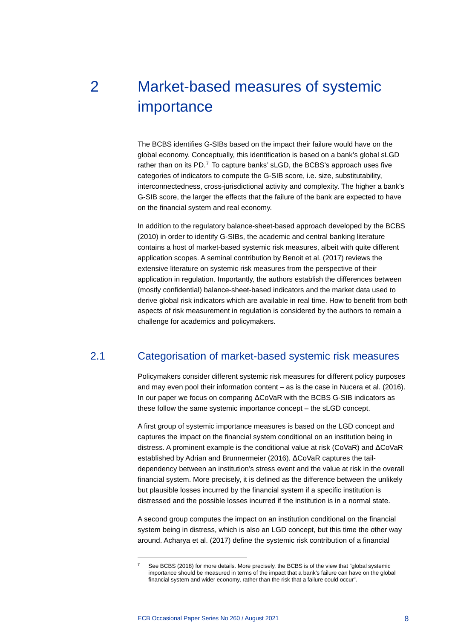# <span id="page-8-0"></span>2 Market-based measures of systemic importance

The BCBS identifies G-SIBs based on the impact their failure would have on the global economy. Conceptually, this identification is based on a bank's global sLGD rather than on its PD.<sup>[7](#page-8-2)</sup> To capture banks' sLGD, the BCBS's approach uses five categories of indicators to compute the G-SIB score, i.e. size, substitutability, interconnectedness, cross-jurisdictional activity and complexity. The higher a bank's G-SIB score, the larger the effects that the failure of the bank are expected to have on the financial system and real economy.

In addition to the regulatory balance-sheet-based approach developed by the BCBS (2010) in order to identify G-SIBs, the academic and central banking literature contains a host of market-based systemic risk measures, albeit with quite different application scopes. A seminal contribution by Benoit et al. (2017) reviews the extensive literature on systemic risk measures from the perspective of their application in regulation. Importantly, the authors establish the differences between (mostly confidential) balance-sheet-based indicators and the market data used to derive global risk indicators which are available in real time. How to benefit from both aspects of risk measurement in regulation is considered by the authors to remain a challenge for academics and policymakers.

## 2.1 Categorisation of market-based systemic risk measures

<span id="page-8-1"></span>Policymakers consider different systemic risk measures for different policy purposes and may even pool their information content – as is the case in Nucera et al. (2016). In our paper we focus on comparing ΔCoVaR with the BCBS G-SIB indicators as these follow the same systemic importance concept – the sLGD concept.

A first group of systemic importance measures is based on the LGD concept and captures the impact on the financial system conditional on an institution being in distress. A prominent example is the conditional value at risk (CoVaR) and ΔCoVaR established by Adrian and Brunnermeier (2016). ΔCoVaR captures the taildependency between an institution's stress event and the value at risk in the overall financial system. More precisely, it is defined as the difference between the unlikely but plausible losses incurred by the financial system if a specific institution is distressed and the possible losses incurred if the institution is in a normal state.

A second group computes the impact on an institution conditional on the financial system being in distress, which is also an LGD concept, but this time the other way around. Acharya et al. (2017) define the systemic risk contribution of a financial

<span id="page-8-2"></span>See BCBS (2018) for more details. More precisely, the BCBS is of the view that "global systemic importance should be measured in terms of the impact that a bank's failure can have on the global financial system and wider economy, rather than the risk that a failure could occur".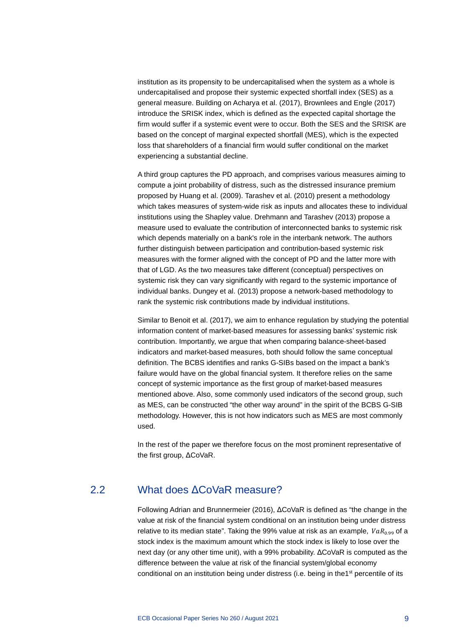institution as its propensity to be undercapitalised when the system as a whole is undercapitalised and propose their systemic expected shortfall index (SES) as a general measure. Building on Acharya et al. (2017), Brownlees and Engle (2017) introduce the SRISK index, which is defined as the expected capital shortage the firm would suffer if a systemic event were to occur. Both the SES and the SRISK are based on the concept of marginal expected shortfall (MES), which is the expected loss that shareholders of a financial firm would suffer conditional on the market experiencing a substantial decline.

A third group captures the PD approach, and comprises various measures aiming to compute a joint probability of distress, such as the distressed insurance premium proposed by Huang et al. (2009). Tarashev et al. (2010) present a methodology which takes measures of system-wide risk as inputs and allocates these to individual institutions using the Shapley value. Drehmann and Tarashev (2013) propose a measure used to evaluate the contribution of interconnected banks to systemic risk which depends materially on a bank's role in the interbank network. The authors further distinguish between participation and contribution-based systemic risk measures with the former aligned with the concept of PD and the latter more with that of LGD. As the two measures take different (conceptual) perspectives on systemic risk they can vary significantly with regard to the systemic importance of individual banks. Dungey et al. (2013) propose a network-based methodology to rank the systemic risk contributions made by individual institutions.

Similar to Benoit et al. (2017), we aim to enhance regulation by studying the potential information content of market-based measures for assessing banks' systemic risk contribution. Importantly, we argue that when comparing balance-sheet-based indicators and market-based measures, both should follow the same conceptual definition. The BCBS identifies and ranks G-SIBs based on the impact a bank's failure would have on the global financial system. It therefore relies on the same concept of systemic importance as the first group of market-based measures mentioned above. Also, some commonly used indicators of the second group, such as MES, can be constructed "the other way around" in the spirit of the BCBS G-SIB methodology. However, this is not how indicators such as MES are most commonly used.

<span id="page-9-0"></span>In the rest of the paper we therefore focus on the most prominent representative of the first group, ΔCoVaR.

### 2.2 What does ΔCoVaR measure?

Following Adrian and Brunnermeier (2016), ΔCoVaR is defined as "the change in the value at risk of the financial system conditional on an institution being under distress relative to its median state". Taking the 99% value at risk as an example,  $VaR<sub>0.99</sub>$  of a stock index is the maximum amount which the stock index is likely to lose over the next day (or any other time unit), with a 99% probability. ΔCoVaR is computed as the difference between the value at risk of the financial system/global economy conditional on an institution being under distress (i.e. being in the1<sup>st</sup> percentile of its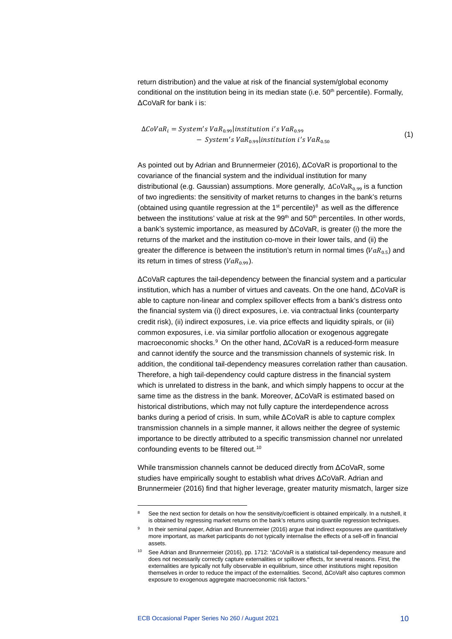return distribution) and the value at risk of the financial system/global economy conditional on the institution being in its median state (i.e. 50<sup>th</sup> percentile). Formally, ΔCoVaR for bank i is:

$$
\Delta CoVaR_i = System's VaR_{0.99} | institution i's VaR_{0.99}
$$
  
- System's VaR\_{0.99} | institution i's VaR\_{0.50} (1)

As pointed out by Adrian and Brunnermeier (2016), ΔCoVaR is proportional to the covariance of the financial system and the individual institution for many distributional (e.g. Gaussian) assumptions. More generally,  $\Delta \text{CoVaR}_{0.99}$  is a function of two ingredients: the sensitivity of market returns to changes in the bank's returns (obtained using quantile regression at the  $1<sup>st</sup>$  percentile)<sup>[8](#page-10-0)</sup> as well as the difference between the institutions' value at risk at the 99<sup>th</sup> and 50<sup>th</sup> percentiles. In other words, a bank's systemic importance, as measured by ΔCoVaR, is greater (i) the more the returns of the market and the institution co-move in their lower tails, and (ii) the greater the difference is between the institution's return in normal times ( $VaR_{0.5}$ ) and its return in times of stress ( $VaR<sub>0.99</sub>$ ).

ΔCoVaR captures the tail-dependency between the financial system and a particular institution, which has a number of virtues and caveats. On the one hand, ΔCoVaR is able to capture non-linear and complex spillover effects from a bank's distress onto the financial system via (i) direct exposures, i.e. via contractual links (counterparty credit risk), (ii) indirect exposures, i.e. via price effects and liquidity spirals, or (iii) common exposures, i.e. via similar portfolio allocation or exogenous aggregate macroeconomic shocks.<sup>[9](#page-10-1)</sup> On the other hand, ΔCoVaR is a reduced-form measure and cannot identify the source and the transmission channels of systemic risk. In addition, the conditional tail-dependency measures correlation rather than causation. Therefore, a high tail-dependency could capture distress in the financial system which is unrelated to distress in the bank, and which simply happens to occur at the same time as the distress in the bank. Moreover, ΔCoVaR is estimated based on historical distributions, which may not fully capture the interdependence across banks during a period of crisis. In sum, while ΔCoVaR is able to capture complex transmission channels in a simple manner, it allows neither the degree of systemic importance to be directly attributed to a specific transmission channel nor unrelated confounding events to be filtered out.<sup>[10](#page-10-2)</sup>

While transmission channels cannot be deduced directly from ΔCoVaR, some studies have empirically sought to establish what drives ΔCoVaR. Adrian and Brunnermeier (2016) find that higher leverage, greater maturity mismatch, larger size

<span id="page-10-1"></span><span id="page-10-0"></span>See the next section for details on how the sensitivity/coefficient is obtained empirically. In a nutshell, it is obtained by regressing market returns on the bank's returns using quantile regression techniques.

In their seminal paper, Adrian and Brunnermeier (2016) argue that indirect exposures are quantitatively more important, as market participants do not typically internalise the effects of a sell-off in financial assets.

<span id="page-10-2"></span><sup>10</sup> See Adrian and Brunnermeier (2016), pp. 1712: "ΔCoVaR is a statistical tail-dependency measure and does not necessarily correctly capture externalities or spillover effects, for several reasons. First, the externalities are typically not fully observable in equilibrium, since other institutions might reposition themselves in order to reduce the impact of the externalities. Second, ΔCoVaR also captures common exposure to exogenous aggregate macroeconomic risk factors."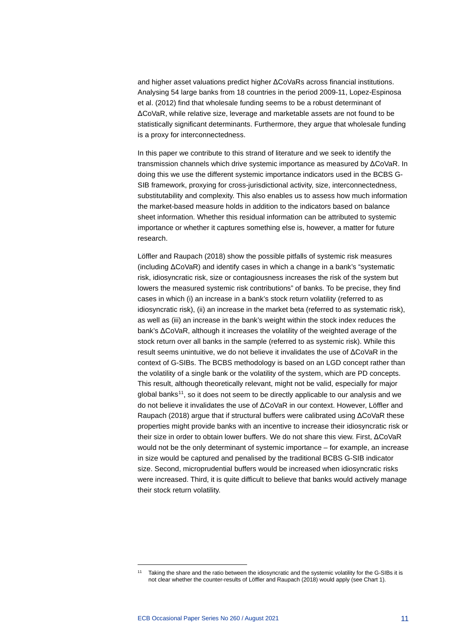and higher asset valuations predict higher ΔCoVaRs across financial institutions. Analysing 54 large banks from 18 countries in the period 2009-11, Lopez-Espinosa et al. (2012) find that wholesale funding seems to be a robust determinant of ΔCoVaR, while relative size, leverage and marketable assets are not found to be statistically significant determinants. Furthermore, they argue that wholesale funding is a proxy for interconnectedness.

In this paper we contribute to this strand of literature and we seek to identify the transmission channels which drive systemic importance as measured by ΔCoVaR. In doing this we use the different systemic importance indicators used in the BCBS G-SIB framework, proxying for cross-jurisdictional activity, size, interconnectedness, substitutability and complexity. This also enables us to assess how much information the market-based measure holds in addition to the indicators based on balance sheet information. Whether this residual information can be attributed to systemic importance or whether it captures something else is, however, a matter for future research.

Löffler and Raupach (2018) show the possible pitfalls of systemic risk measures (including ΔCoVaR) and identify cases in which a change in a bank's "systematic risk, idiosyncratic risk, size or contagiousness increases the risk of the system but lowers the measured systemic risk contributions" of banks. To be precise, they find cases in which (i) an increase in a bank's stock return volatility (referred to as idiosyncratic risk), (ii) an increase in the market beta (referred to as systematic risk), as well as (iii) an increase in the bank's weight within the stock index reduces the bank's ΔCoVaR, although it increases the volatility of the weighted average of the stock return over all banks in the sample (referred to as systemic risk). While this result seems unintuitive, we do not believe it invalidates the use of ΔCoVaR in the context of G-SIBs. The BCBS methodology is based on an LGD concept rather than the volatility of a single bank or the volatility of the system, which are PD concepts. This result, although theoretically relevant, might not be valid, especially for major global banks[11](#page-11-0), so it does not seem to be directly applicable to our analysis and we do not believe it invalidates the use of ΔCoVaR in our context. However, Löffler and Raupach (2018) argue that if structural buffers were calibrated using ΔCoVaR these properties might provide banks with an incentive to increase their idiosyncratic risk or their size in order to obtain lower buffers. We do not share this view. First, ΔCoVaR would not be the only determinant of systemic importance – for example, an increase in size would be captured and penalised by the traditional BCBS G-SIB indicator size. Second, microprudential buffers would be increased when idiosyncratic risks were increased. Third, it is quite difficult to believe that banks would actively manage their stock return volatility.

<span id="page-11-0"></span><sup>11</sup> Taking the share and the ratio between the idiosyncratic and the systemic volatility for the G-SIBs it is not clear whether the counter-results of Löffler and Raupach (2018) would apply (see Chart 1).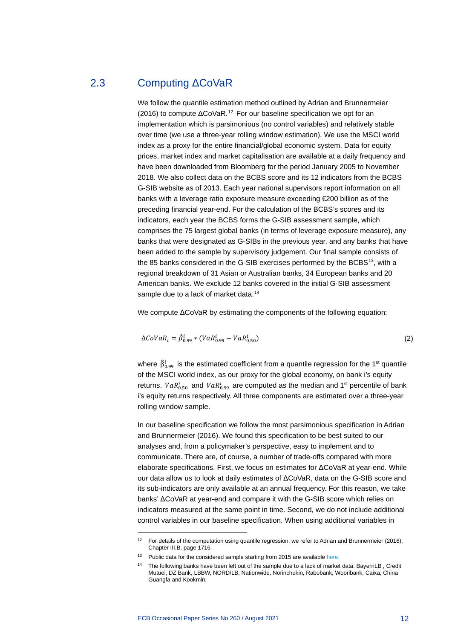### 2.3 Computing ΔCoVaR

<span id="page-12-0"></span>We follow the quantile estimation method outlined by Adrian and Brunnermeier (2016) to compute  $\Delta$ CoVaR.<sup>[12](#page-12-1)</sup> For our baseline specification we opt for an implementation which is parsimonious (no control variables) and relatively stable over time (we use a three-year rolling window estimation). We use the MSCI world index as a proxy for the entire financial/global economic system. Data for equity prices, market index and market capitalisation are available at a daily frequency and have been downloaded from Bloomberg for the period January 2005 to November 2018. We also collect data on the BCBS score and its 12 indicators from the BCBS G-SIB website as of 2013. Each year national supervisors report information on all banks with a leverage ratio exposure measure exceeding €200 billion as of the preceding financial year-end. For the calculation of the BCBS's scores and its indicators, each year the BCBS forms the G-SIB assessment sample, which comprises the 75 largest global banks (in terms of leverage exposure measure), any banks that were designated as G-SIBs in the previous year, and any banks that have been added to the sample by supervisory judgement. Our final sample consists of the 85 banks considered in the G-SIB exercises performed by the BCBS<sup>[13](#page-12-2)</sup>, with a regional breakdown of 31 Asian or Australian banks, 34 European banks and 20 American banks. We exclude 12 banks covered in the initial G-SIB assessment sample due to a lack of market data.<sup>[14](#page-12-3)</sup>

We compute ΔCoVaR by estimating the components of the following equation:

$$
\Delta CoVaR_i = \hat{\beta}_{0.99}^i * (VaR_{0.99}^i - VaR_{0.50}^i)
$$
\n(2)

where  $\hat{\beta}^i_{0.99}$  is the estimated coefficient from a quantile regression for the 1<sup>st</sup> quantile of the MSCI world index, as our proxy for the global economy, on bank i's equity returns.  $VaR^i_{0.50}$  and  $VaR^i_{0.99}$  are computed as the median and 1<sup>st</sup> percentile of bank i's equity returns respectively. All three components are estimated over a three-year rolling window sample.

In our baseline specification we follow the most parsimonious specification in Adrian and Brunnermeier (2016). We found this specification to be best suited to our analyses and, from a policymaker's perspective, easy to implement and to communicate. There are, of course, a number of trade-offs compared with more elaborate specifications. First, we focus on estimates for ΔCoVaR at year-end. While our data allow us to look at daily estimates of ΔCoVaR, data on the G-SIB score and its sub-indicators are only available at an annual frequency. For this reason, we take banks' ΔCoVaR at year-end and compare it with the G-SIB score which relies on indicators measured at the same point in time. Second, we do not include additional control variables in our baseline specification. When using additional variables in

<sup>&</sup>lt;sup>12</sup> For details of the computation using quantile regression, we refer to Adrian and Brunnermeier (2016), Chapter III.B, page 1716.

<span id="page-12-3"></span><span id="page-12-2"></span><span id="page-12-1"></span><sup>&</sup>lt;sup>13</sup> Public data for the considered sample starting from 2015 are availabl[e here.](https://www.bis.org/bcbs/gsib/gsib_assessment_samples.htm)

<sup>&</sup>lt;sup>14</sup> The following banks have been left out of the sample due to a lack of market data: BayernLB, Credit Mutuel, DZ Bank, LBBW, NORD/LB, Nationwide, Norinchukin, Rabobank, Wooribank, Caixa, China Guangfa and Kookmin.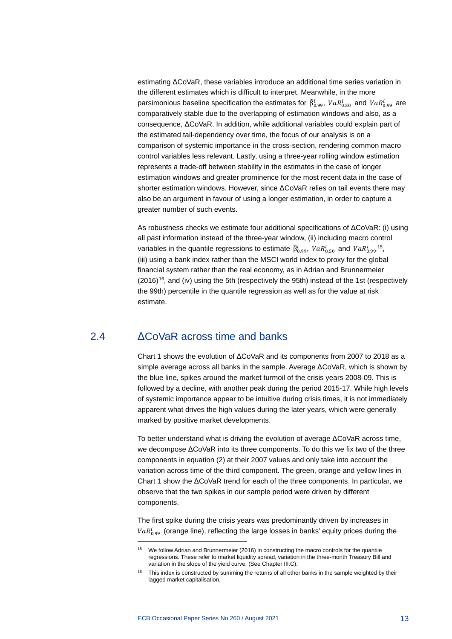estimating ΔCoVaR, these variables introduce an additional time series variation in the different estimates which is difficult to interpret. Meanwhile, in the more parsimonious baseline specification the estimates for  $\beta_{0.99}^t$ ,  $VaR_{0.50}^t$  and  $VaR_{0.99}^t$  are comparatively stable due to the overlapping of estimation windows and also, as a consequence, ΔCoVaR. In addition, while additional variables could explain part of the estimated tail-dependency over time, the focus of our analysis is on a comparison of systemic importance in the cross-section, rendering common macro control variables less relevant. Lastly, using a three-year rolling window estimation represents a trade-off between stability in the estimates in the case of longer estimation windows and greater prominence for the most recent data in the case of shorter estimation windows. However, since ΔCoVaR relies on tail events there may also be an argument in favour of using a longer estimation, in order to capture a greater number of such events.

As robustness checks we estimate four additional specifications of ΔCoVaR: (i) using all past information instead of the three-year window, (ii) including macro control variables in the quantile regressions to estimate  $\hat{\beta}^i_{0.99}$ ,  $VaR^i_{0.50}$  and  $VaR^i_{0.99}$ <sup>15</sup>, (iii) using a bank index rather than the MSCI world index to proxy for the global financial system rather than the real economy, as in Adrian and Brunnermeier (20[16](#page-13-1))<sup>16</sup>, and (iv) using the 5th (respectively the 95th) instead of the 1st (respectively the 99th) percentile in the quantile regression as well as for the value at risk estimate.

### 2.4 ΔCoVaR across time and banks

<span id="page-13-0"></span>Chart 1 shows the evolution of ΔCoVaR and its components from 2007 to 2018 as a simple average across all banks in the sample. Average ΔCoVaR, which is shown by the blue line, spikes around the market turmoil of the crisis years 2008-09. This is followed by a decline, with another peak during the period 2015-17. While high levels of systemic importance appear to be intuitive during crisis times, it is not immediately apparent what drives the high values during the later years, which were generally marked by positive market developments.

To better understand what is driving the evolution of average ΔCoVaR across time, we decompose ΔCoVaR into its three components. To do this we fix two of the three components in equation (2) at their 2007 values and only take into account the variation across time of the third component. The green, orange and yellow lines in Chart 1 show the ΔCoVaR trend for each of the three components. In particular, we observe that the two spikes in our sample period were driven by different components.

The first spike during the crisis years was predominantly driven by increases in  $\textit{VaR}_{0.99}^{\iota}$  (orange line), reflecting the large losses in banks' equity prices during the

<sup>15</sup> We follow Adrian and Brunnermeier (2016) in constructing the macro controls for the quantile regressions. These refer to market liquidity spread, variation in the three-month Treasury Bill and variation in the slope of the yield curve. (See Chapter III.C).

<span id="page-13-1"></span> $16$  This index is constructed by summing the returns of all other banks in the sample weighted by their lagged market capitalisation.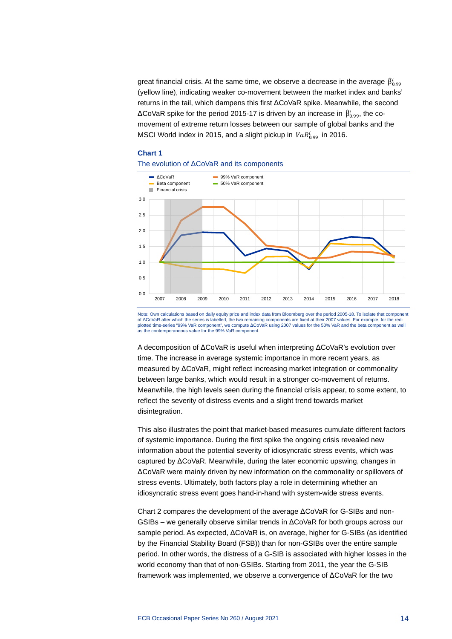great financial crisis. At the same time, we observe a decrease in the average  $\,\beta^\iota_{0.99}$ (yellow line), indicating weaker co-movement between the market index and banks' returns in the tail, which dampens this first ΔCoVaR spike. Meanwhile, the second ΔCoVaR spike for the period 2015-17 is driven by an increase in  $\beta_{0.99}^l$ , the comovement of extreme return losses between our sample of global banks and the MSCI World index in 2015, and a slight pickup in  $\textit{VaR}_{0.99}^{\prime}$  in 2016.

### **Chart 1**





Note: Own calculations based on daily equity price and index data from Bloomberg over the period 2005-18. To isolate that component of ΔCoVaR after which the series is labelled, the two remaining components are fixed at their 2007 values. For example, for the redplotted time-series "99% VaR component", we compute ΔCoVaR using 2007 values for the 50% VaR and the beta component as well<br>as the contemporaneous value for the 99% VaR component.

A decomposition of ΔCoVaR is useful when interpreting ΔCoVaR's evolution over time. The increase in average systemic importance in more recent years, as measured by ΔCoVaR, might reflect increasing market integration or commonality between large banks, which would result in a stronger co-movement of returns. Meanwhile, the high levels seen during the financial crisis appear, to some extent, to reflect the severity of distress events and a slight trend towards market disintegration.

This also illustrates the point that market-based measures cumulate different factors of systemic importance. During the first spike the ongoing crisis revealed new information about the potential severity of idiosyncratic stress events, which was captured by ΔCoVaR. Meanwhile, during the later economic upswing, changes in ΔCoVaR were mainly driven by new information on the commonality or spillovers of stress events. Ultimately, both factors play a role in determining whether an idiosyncratic stress event goes hand-in-hand with system-wide stress events.

Chart 2 compares the development of the average ΔCoVaR for G-SIBs and non-GSIBs – we generally observe similar trends in ΔCoVaR for both groups across our sample period. As expected, ΔCoVaR is, on average, higher for G-SIBs (as identified by the Financial Stability Board (FSB)) than for non-GSIBs over the entire sample period. In other words, the distress of a G-SIB is associated with higher losses in the world economy than that of non-GSIBs. Starting from 2011, the year the G-SIB framework was implemented, we observe a convergence of ΔCoVaR for the two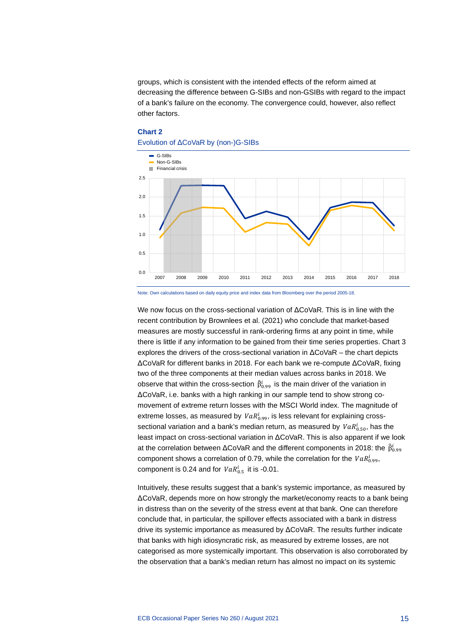groups, which is consistent with the intended effects of the reform aimed at decreasing the difference between G-SIBs and non-GSIBs with regard to the impact of a bank's failure on the economy. The convergence could, however, also reflect other factors.



## **Chart 2**

Note: Own calculations based on daily equity price and index data from Bloomberg over the period 2005-18.

We now focus on the cross-sectional variation of ΔCoVaR. This is in line with the recent contribution by Brownlees et al. (2021) who conclude that market-based measures are mostly successful in rank-ordering firms at any point in time, while there is little if any information to be gained from their time series properties. Chart 3 explores the drivers of the cross-sectional variation in ΔCoVaR – the chart depicts ΔCoVaR for different banks in 2018. For each bank we re-compute ΔCoVaR, fixing two of the three components at their median values across banks in 2018. We observe that within the cross-section  $\beta'_{0.99}$  is the main driver of the variation in ΔCoVaR, i.e. banks with a high ranking in our sample tend to show strong comovement of extreme return losses with the MSCI World index. The magnitude of extreme losses, as measured by  $\mathit{VaR}_{0.99}^l$ , is less relevant for explaining crosssectional variation and a bank's median return, as measured by  $\mathit{VaR}^t_{0.50}$ , has the least impact on cross-sectional variation in ΔCoVaR. This is also apparent if we look at the correlation between ΔCoVaR and the different components in 2018: the  $\,\tilde{\beta}^l_{0.99}$ component shows a correlation of 0.79, while the correlation for the  $VaR^1_{0.99}$ , component is 0.24 and for  $VaR^{\iota}_{0.5}$  it is -0.01.

Intuitively, these results suggest that a bank's systemic importance, as measured by ΔCoVaR, depends more on how strongly the market/economy reacts to a bank being in distress than on the severity of the stress event at that bank. One can therefore conclude that, in particular, the spillover effects associated with a bank in distress drive its systemic importance as measured by ΔCoVaR. The results further indicate that banks with high idiosyncratic risk, as measured by extreme losses, are not categorised as more systemically important. This observation is also corroborated by the observation that a bank's median return has almost no impact on its systemic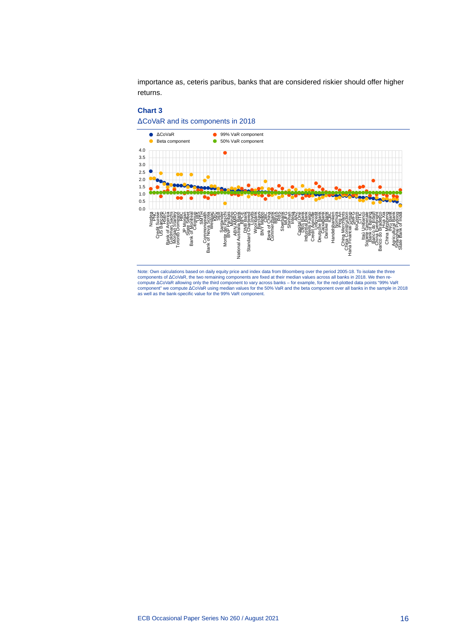importance as, ceteris paribus, banks that are considered riskier should offer higher returns.

### **Chart 3**





Note: Own calculations based on daily equity price and index data from Bloomberg over the period 2005-18. To isolate the three<br>components of ΔCoVaR, the two remaining components are fixed at their median values across all as well as the bank-specific value for the 99% VaR component.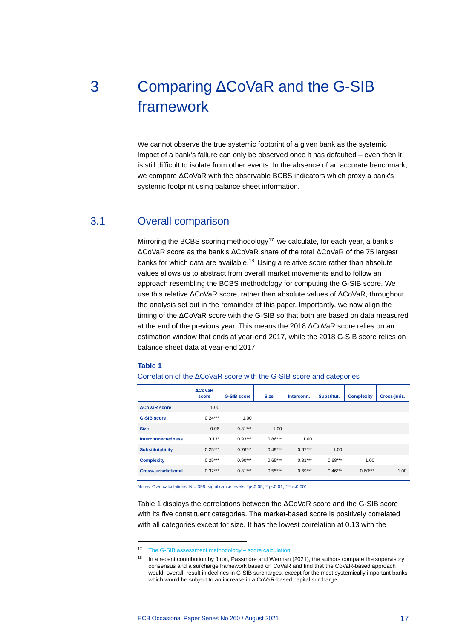# <span id="page-17-0"></span>3 Comparing ΔCoVaR and the G-SIB framework

We cannot observe the true systemic footprint of a given bank as the systemic impact of a bank's failure can only be observed once it has defaulted – even then it is still difficult to isolate from other events. In the absence of an accurate benchmark, we compare ΔCoVaR with the observable BCBS indicators which proxy a bank's systemic footprint using balance sheet information.

### 3.1 Overall comparison

<span id="page-17-1"></span>Mirroring the BCBS scoring methodology<sup>[17](#page-17-2)</sup> we calculate, for each year, a bank's ΔCoVaR score as the bank's ΔCoVaR share of the total ΔCoVaR of the 75 largest banks for which data are available.<sup>[18](#page-17-3)</sup> Using a relative score rather than absolute values allows us to abstract from overall market movements and to follow an approach resembling the BCBS methodology for computing the G-SIB score. We use this relative ΔCoVaR score, rather than absolute values of ΔCoVaR, throughout the analysis set out in the remainder of this paper. Importantly, we now align the timing of the ΔCoVaR score with the G-SIB so that both are based on data measured at the end of the previous year. This means the 2018 ΔCoVaR score relies on an estimation window that ends at year-end 2017, while the 2018 G-SIB score relies on balance sheet data at year-end 2017.

### **Table 1**

Correlation of the ΔCoVaR score with the G-SIB score and categories

|                             | <b>ACoVaR</b><br>score | <b>G-SIB score</b> | <b>Size</b> | Interconn. | Substitut. | <b>Complexity</b> | Cross-juris. |
|-----------------------------|------------------------|--------------------|-------------|------------|------------|-------------------|--------------|
| <b>ACoVaR</b> score         | 1.00                   |                    |             |            |            |                   |              |
| <b>G-SIB score</b>          | $0.24***$              | 1.00               |             |            |            |                   |              |
| <b>Size</b>                 | $-0.06$                | $0.81***$          | 1.00        |            |            |                   |              |
| <b>Interconnectedness</b>   | $0.13*$                | $0.93***$          | $0.86***$   | 1.00       |            |                   |              |
| <b>Substitutability</b>     | $0.25***$              | $0.76***$          | $0.49***$   | $0.67***$  | 1.00       |                   |              |
| <b>Complexity</b>           | $0.25***$              | $0.90***$          | $0.65***$   | $0.81***$  | $0.68***$  | 1.00              |              |
| <b>Cross-jurisdictional</b> | $0.32***$              | $0.81***$          | $0.55***$   | $0.69***$  | $0.46***$  | $0.60***$         | 1.00         |

Notes: Own calculations. N = 398; significance levels: \*p<0.05, \*\*p<0.01, \*\*\*p<0.001.

Table 1 displays the correlations between the ΔCoVaR score and the G-SIB score with its five constituent categories. The market-based score is positively correlated with all categories except for size. It has the lowest correlation at 0.13 with the

<span id="page-17-3"></span><span id="page-17-2"></span><sup>17</sup> [The G-SIB assessment methodology –](https://www.bis.org/bcbs/publ/d296.pdf) score calculation.

<sup>&</sup>lt;sup>18</sup> In a recent contribution by Jiron, Passmore and Werman (2021), the authors compare the supervisory consensus and a surcharge framework based on CoVaR and find that the CoVaR-based approach would, overall, result in declines in G-SIB surcharges, except for the most systemically important banks which would be subject to an increase in a CoVaR-based capital surcharge.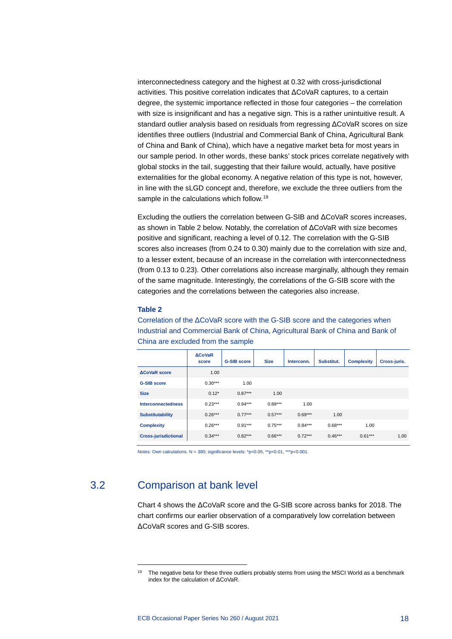interconnectedness category and the highest at 0.32 with cross-jurisdictional activities. This positive correlation indicates that ΔCoVaR captures, to a certain degree, the systemic importance reflected in those four categories – the correlation with size is insignificant and has a negative sign. This is a rather unintuitive result. A standard outlier analysis based on residuals from regressing ΔCoVaR scores on size identifies three outliers (Industrial and Commercial Bank of China, Agricultural Bank of China and Bank of China), which have a negative market beta for most years in our sample period. In other words, these banks' stock prices correlate negatively with global stocks in the tail, suggesting that their failure would, actually, have positive externalities for the global economy. A negative relation of this type is not, however, in line with the sLGD concept and, therefore, we exclude the three outliers from the sample in the calculations which follow.<sup>[19](#page-18-1)</sup>

Excluding the outliers the correlation between G-SIB and ΔCoVaR scores increases, as shown in Table 2 below. Notably, the correlation of ΔCoVaR with size becomes positive and significant, reaching a level of 0.12. The correlation with the G-SIB scores also increases (from 0.24 to 0.30) mainly due to the correlation with size and, to a lesser extent, because of an increase in the correlation with interconnectedness (from 0.13 to 0.23). Other correlations also increase marginally, although they remain of the same magnitude. Interestingly, the correlations of the G-SIB score with the categories and the correlations between the categories also increase.

### **Table 2**

Correlation of the ΔCoVaR score with the G-SIB score and the categories when Industrial and Commercial Bank of China, Agricultural Bank of China and Bank of China are excluded from the sample

|                             | <b>ACoVaR</b><br>score | <b>G-SIB score</b> | <b>Size</b> | Interconn. | Substitut. | <b>Complexity</b> | Cross-juris. |
|-----------------------------|------------------------|--------------------|-------------|------------|------------|-------------------|--------------|
| <b>ACoVaR</b> score         | 1.00                   |                    |             |            |            |                   |              |
| <b>G-SIB score</b>          | $0.30***$              | 1.00               |             |            |            |                   |              |
| <b>Size</b>                 | $0.12*$                | $0.87***$          | 1.00        |            |            |                   |              |
| <b>Interconnectedness</b>   | $0.23***$              | $0.94***$          | $0.89***$   | 1.00       |            |                   |              |
| <b>Substitutability</b>     | $0.26***$              | $0.77***$          | $0.57***$   | $0.69***$  | 1.00       |                   |              |
| <b>Complexity</b>           | $0.26***$              | $0.91***$          | $0.75***$   | $0.84***$  | $0.68***$  | 1.00              |              |
| <b>Cross-jurisdictional</b> | $0.34***$              | $0.82***$          | $0.66***$   | $0.72***$  | $0.46***$  | $0.61***$         | 1.00         |

<span id="page-18-0"></span>Notes: Own calculations. N = 380; significance levels: \*p<0.05, \*\*p<0.01, \*\*\*p<0.001.

### <span id="page-18-1"></span>3.2 Comparison at bank level

Chart 4 shows the ΔCoVaR score and the G-SIB score across banks for 2018. The chart confirms our earlier observation of a comparatively low correlation between ΔCoVaR scores and G-SIB scores.

<sup>&</sup>lt;sup>19</sup> The negative beta for these three outliers probably stems from using the MSCI World as a benchmark index for the calculation of ΔCoVaR.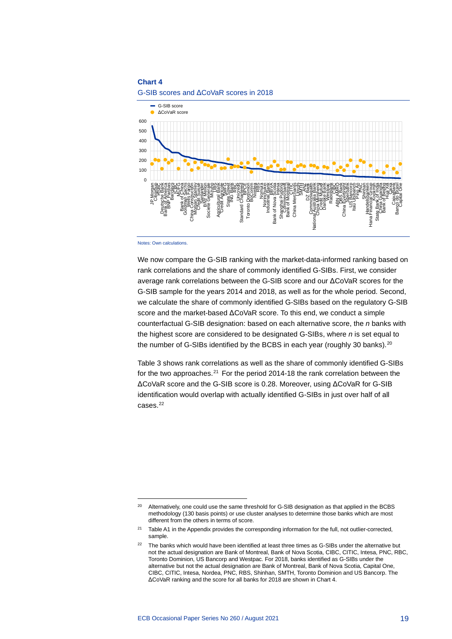### **Chart 4**





We now compare the G-SIB ranking with the market-data-informed ranking based on rank correlations and the share of commonly identified G-SIBs. First, we consider average rank correlations between the G-SIB score and our ΔCoVaR scores for the G-SIB sample for the years 2014 and 2018, as well as for the whole period. Second, we calculate the share of commonly identified G-SIBs based on the regulatory G-SIB score and the market-based ΔCoVaR score. To this end, we conduct a simple counterfactual G-SIB designation: based on each alternative score, the *n* banks with the highest score are considered to be designated G-SIBs, where *n* is set equal to the number of G-SIBs identified by the BCBS in each year (roughly 30 banks).<sup>[20](#page-19-0)</sup>

Table 3 shows rank correlations as well as the share of commonly identified G-SIBs for the two approaches.<sup>[21](#page-19-1)</sup> For the period 2014-18 the rank correlation between the ΔCoVaR score and the G-SIB score is 0.28. Moreover, using ΔCoVaR for G-SIB identification would overlap with actually identified G-SIBs in just over half of all cases[.22](#page-19-2)

Notes: Own calculations.

<span id="page-19-0"></span><sup>&</sup>lt;sup>20</sup> Alternatively, one could use the same threshold for G-SIB designation as that applied in the BCBS methodology (130 basis points) or use cluster analyses to determine those banks which are most different from the others in terms of score.

<span id="page-19-1"></span><sup>21</sup> Table A1 in the Appendix provides the corresponding information for the full, not outlier-corrected, sample.

<span id="page-19-2"></span><sup>&</sup>lt;sup>22</sup> The banks which would have been identified at least three times as G-SIBs under the alternative but not the actual designation are Bank of Montreal, Bank of Nova Scotia, CIBC, CITIC, Intesa, PNC, RBC, Toronto Dominion, US Bancorp and Westpac. For 2018, banks identified as G-SIBs under the alternative but not the actual designation are Bank of Montreal, Bank of Nova Scotia, Capital One, CIBC, CITIC, Intesa, Nordea, PNC, RBS, Shinhan, SMTH, Toronto Dominion and US Bancorp. The ΔCoVaR ranking and the score for all banks for 2018 are shown in Chart 4.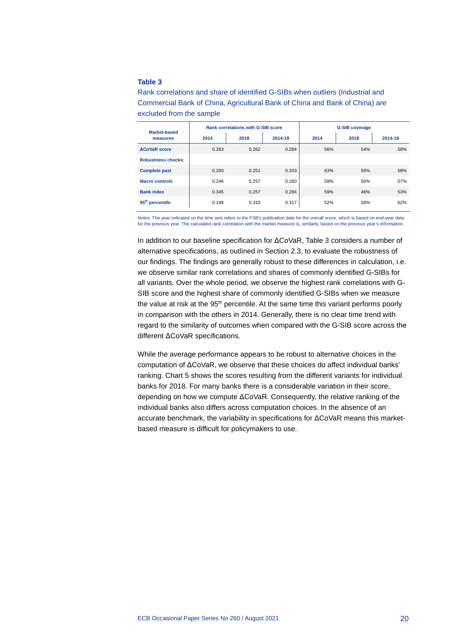### **Table 3**

Rank correlations and share of identified G-SIBs when outliers (Industrial and Commercial Bank of China, Agricultural Bank of China and Bank of China) are excluded from the sample

| <b>Market-based</b>         | <b>Rank correlations with G-SIB score</b> |       |         | <b>G-SIB coverage</b> |      |         |
|-----------------------------|-------------------------------------------|-------|---------|-----------------------|------|---------|
| measures                    | 2014                                      | 2018  | 2014-18 | 2014                  | 2018 | 2014-18 |
| <b>ACoVaR</b> score         | 0.283                                     | 0.262 | 0.284   | 56%                   | 54%  | 58%     |
| <b>Robustness checks:</b>   |                                           |       |         |                       |      |         |
| <b>Complete past</b>        | 0.200                                     | 0.251 | 0.203   | 63%                   | 58%  | 58%     |
| <b>Macro controls</b>       | 0.246                                     | 0.257 | 0.260   | 59%                   | 50%  | 57%     |
| <b>Bank index</b>           | 0.345                                     | 0.257 | 0.284   | 59%                   | 46%  | 53%     |
| 95 <sup>th</sup> percentile | 0.198                                     | 0.310 | 0.317   | 52%                   | 58%  | 62%     |

Notes: The year indicated on the time axis refers to the FSB's publication date for the overall score, which is based on end-year data for the previous year. The calculated rank correlation with the market measure is, similarly, based on the previous year's information.

In addition to our baseline specification for ΔCoVaR, Table 3 considers a number of alternative specifications, as outlined in Section 2.3, to evaluate the robustness of our findings. The findings are generally robust to these differences in calculation, i.e. we observe similar rank correlations and shares of commonly identified G-SIBs for all variants. Over the whole period, we observe the highest rank correlations with G-SIB score and the highest share of commonly identified G-SIBs when we measure the value at risk at the 95<sup>th</sup> percentile. At the same time this variant performs poorly in comparison with the others in 2014. Generally, there is no clear time trend with regard to the similarity of outcomes when compared with the G-SIB score across the different ΔCoVaR specifications.

While the average performance appears to be robust to alternative choices in the computation of ΔCoVaR, we observe that these choices do affect individual banks' ranking. Chart 5 shows the scores resulting from the different variants for individual banks for 2018. For many banks there is a considerable variation in their score, depending on how we compute ΔCoVaR. Consequently, the relative ranking of the individual banks also differs across computation choices. In the absence of an accurate benchmark, the variability in specifications for ΔCoVaR means this marketbased measure is difficult for policymakers to use.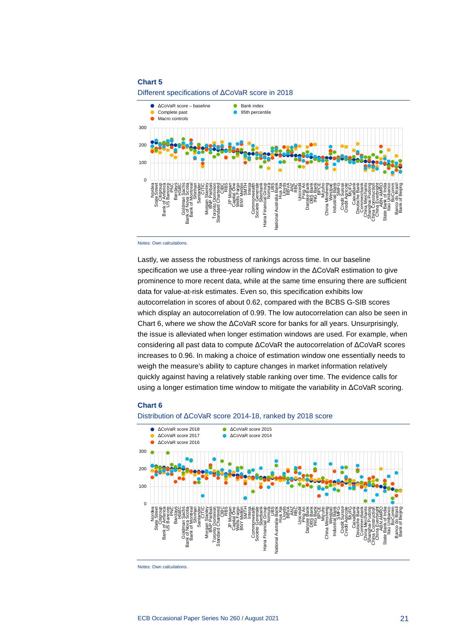### **Chart 5**



Different specifications of ΔCoVaR score in 2018

Notes: Own calculations.

Lastly, we assess the robustness of rankings across time. In our baseline specification we use a three-year rolling window in the ΔCoVaR estimation to give prominence to more recent data, while at the same time ensuring there are sufficient data for value-at-risk estimates. Even so, this specification exhibits low autocorrelation in scores of about 0.62, compared with the BCBS G-SIB scores which display an autocorrelation of 0.99. The low autocorrelation can also be seen in Chart 6, where we show the ΔCoVaR score for banks for all years. Unsurprisingly, the issue is alleviated when longer estimation windows are used. For example, when considering all past data to compute ΔCoVaR the autocorrelation of ΔCoVaR scores increases to 0.96. In making a choice of estimation window one essentially needs to weigh the measure's ability to capture changes in market information relatively quickly against having a relatively stable ranking over time. The evidence calls for using a longer estimation time window to mitigate the variability in ΔCoVaR scoring.

### **Chart 6**

### Distribution of ΔCoVaR score 2014-18, ranked by 2018 score



Notes: Own calculations.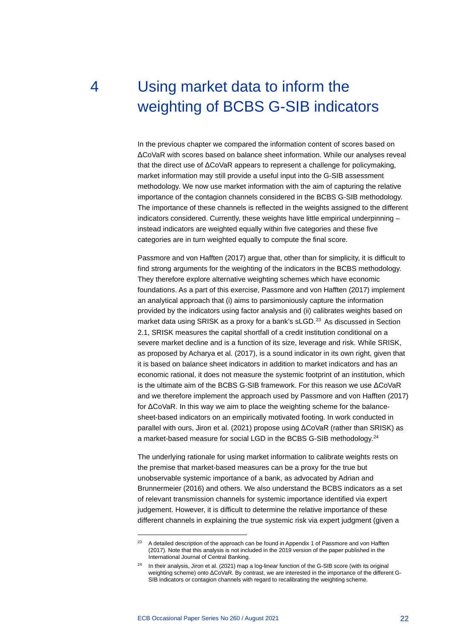# <span id="page-22-0"></span>4 Using market data to inform the weighting of BCBS G-SIB indicators

In the previous chapter we compared the information content of scores based on ΔCoVaR with scores based on balance sheet information. While our analyses reveal that the direct use of ΔCoVaR appears to represent a challenge for policymaking, market information may still provide a useful input into the G-SIB assessment methodology. We now use market information with the aim of capturing the relative importance of the contagion channels considered in the BCBS G-SIB methodology. The importance of these channels is reflected in the weights assigned to the different indicators considered. Currently, these weights have little empirical underpinning – instead indicators are weighted equally within five categories and these five categories are in turn weighted equally to compute the final score.

Passmore and von Hafften (2017) argue that, other than for simplicity, it is difficult to find strong arguments for the weighting of the indicators in the BCBS methodology. They therefore explore alternative weighting schemes which have economic foundations. As a part of this exercise, Passmore and von Hafften (2017) implement an analytical approach that (i) aims to parsimoniously capture the information provided by the indicators using factor analysis and (ii) calibrates weights based on market data using SRISK as a proxy for a bank's sLGD.<sup>[23](#page-22-1)</sup> As discussed in Section 2.1, SRISK measures the capital shortfall of a credit institution conditional on a severe market decline and is a function of its size, leverage and risk. While SRISK, as proposed by Acharya et al. (2017), is a sound indicator in its own right, given that it is based on balance sheet indicators in addition to market indicators and has an economic rational, it does not measure the systemic footprint of an institution, which is the ultimate aim of the BCBS G-SIB framework. For this reason we use ΔCoVaR and we therefore implement the approach used by Passmore and von Hafften (2017) for ΔCoVaR. In this way we aim to place the weighting scheme for the balancesheet-based indicators on an empirically motivated footing. In work conducted in parallel with ours, Jiron et al. (2021) propose using ΔCoVaR (rather than SRISK) as a market-based measure for social LGD in the BCBS G-SIB methodology.[24](#page-22-2)

The underlying rationale for using market information to calibrate weights rests on the premise that market-based measures can be a proxy for the true but unobservable systemic importance of a bank, as advocated by Adrian and Brunnermeier (2016) and others. We also understand the BCBS indicators as a set of relevant transmission channels for systemic importance identified via expert judgement. However, it is difficult to determine the relative importance of these different channels in explaining the true systemic risk via expert judgment (given a

<span id="page-22-1"></span><sup>&</sup>lt;sup>23</sup> A detailed description of the approach can be found in Appendix 1 of Passmore and von Hafften (2017). Note that this analysis is not included in the 2019 version of the paper published in the International Journal of Central Banking.

<span id="page-22-2"></span><sup>&</sup>lt;sup>24</sup> In their analysis, Jiron et al. (2021) map a log-linear function of the G-SIB score (with its original weighting scheme) onto ΔCoVaR. By contrast, we are interested in the importance of the different G-SIB indicators or contagion channels with regard to recalibrating the weighting scheme.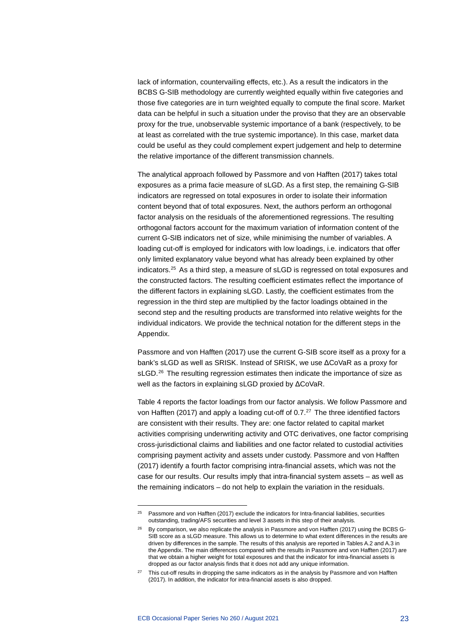lack of information, countervailing effects, etc.). As a result the indicators in the BCBS G-SIB methodology are currently weighted equally within five categories and those five categories are in turn weighted equally to compute the final score. Market data can be helpful in such a situation under the proviso that they are an observable proxy for the true, unobservable systemic importance of a bank (respectively, to be at least as correlated with the true systemic importance). In this case, market data could be useful as they could complement expert judgement and help to determine the relative importance of the different transmission channels.

The analytical approach followed by Passmore and von Hafften (2017) takes total exposures as a prima facie measure of sLGD. As a first step, the remaining G-SIB indicators are regressed on total exposures in order to isolate their information content beyond that of total exposures. Next, the authors perform an orthogonal factor analysis on the residuals of the aforementioned regressions. The resulting orthogonal factors account for the maximum variation of information content of the current G-SIB indicators net of size, while minimising the number of variables. A loading cut-off is employed for indicators with low loadings, i.e. indicators that offer only limited explanatory value beyond what has already been explained by other indicators.[25](#page-23-0) As a third step, a measure of sLGD is regressed on total exposures and the constructed factors. The resulting coefficient estimates reflect the importance of the different factors in explaining sLGD. Lastly, the coefficient estimates from the regression in the third step are multiplied by the factor loadings obtained in the second step and the resulting products are transformed into relative weights for the individual indicators. We provide the technical notation for the different steps in the Appendix.

Passmore and von Hafften (2017) use the current G-SIB score itself as a proxy for a bank's sLGD as well as SRISK. Instead of SRISK, we use ΔCoVaR as a proxy for sLGD.<sup>[26](#page-23-1)</sup> The resulting regression estimates then indicate the importance of size as well as the factors in explaining sLGD proxied by ΔCoVaR.

Table 4 reports the factor loadings from our factor analysis. We follow Passmore and von Hafften (2017) and apply a loading cut-off of  $0.7<sup>27</sup>$  The three identified factors are consistent with their results. They are: one factor related to capital market activities comprising underwriting activity and OTC derivatives, one factor comprising cross-jurisdictional claims and liabilities and one factor related to custodial activities comprising payment activity and assets under custody. Passmore and von Hafften (2017) identify a fourth factor comprising intra-financial assets, which was not the case for our results. Our results imply that intra-financial system assets – as well as the remaining indicators – do not help to explain the variation in the residuals.

<span id="page-23-0"></span><sup>&</sup>lt;sup>25</sup> Passmore and von Hafften (2017) exclude the indicators for Intra-financial liabilities, securities outstanding, trading/AFS securities and level 3 assets in this step of their analysis.

<span id="page-23-1"></span><sup>&</sup>lt;sup>26</sup> By comparison, we also replicate the analysis in Passmore and von Hafften (2017) using the BCBS G-SIB score as a sLGD measure. This allows us to determine to what extent differences in the results are driven by differences in the sample. The results of this analysis are reported in Tables A.2 and A.3 in the Appendix. The main differences compared with the results in Passmore and von Hafften (2017) are that we obtain a higher weight for total exposures and that the indicator for intra-financial assets is dropped as our factor analysis finds that it does not add any unique information.

<span id="page-23-2"></span><sup>&</sup>lt;sup>27</sup> This cut-off results in dropping the same indicators as in the analysis by Passmore and von Hafften (2017). In addition, the indicator for intra-financial assets is also dropped.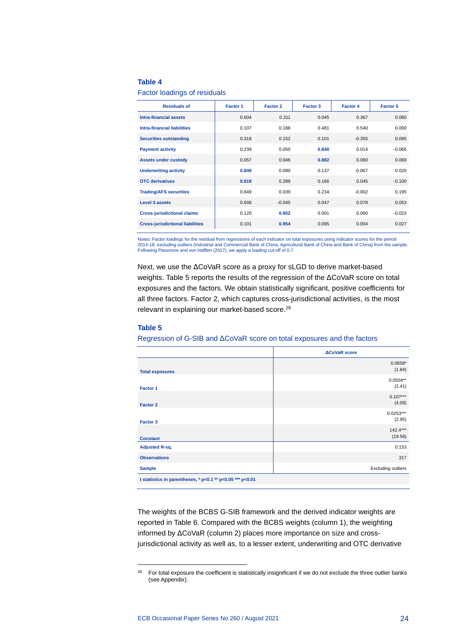### **Table 4**

Factor loadings of residuals

| <b>Residuals of</b>                     | Factor 1 | Factor 2 | Factor 3 | <b>Factor 4</b> | <b>Factor 5</b> |
|-----------------------------------------|----------|----------|----------|-----------------|-----------------|
| <b>Intra-financial assets</b>           | 0.604    | 0.311    | 0.045    | 0.367           | 0.080           |
| <b>Intra-financial liabilities</b>      | 0.107    | 0.188    | 0.481    | 0.540           | 0.000           |
| <b>Securities outstanding</b>           | 0.318    | 0.152    | 0.101    | $-0.355$        | 0.095           |
| <b>Payment activity</b>                 | 0.239    | 0.050    | 0.840    | 0.014           | $-0.066$        |
| <b>Assets under custody</b>             | 0.057    | 0.046    | 0.882    | 0.060           | 0.069           |
| <b>Underwriting activity</b>            | 0.849    | 0.080    | 0.137    | $-0.067$        | 0.020           |
| <b>OTC</b> derivatives                  | 0.819    | 0.289    | 0.166    | 0.045           | $-0.100$        |
| <b>Trading/AFS securities</b>           | 0.649    | 0.039    | 0.234    | $-0.002$        | 0.195           |
| Level 3 assets                          | 0.648    | $-0.045$ | 0.047    | 0.078           | 0.053           |
| <b>Cross-jurisdictional claims</b>      | 0.120    | 0.952    | 0.001    | 0.060           | $-0.023$        |
| <b>Cross-jurisdictional liabilities</b> | 0.101    | 0.954    | 0.095    | 0.004           | 0.027           |

Notes: Factor loadings for the residual from regressions of each indicator on total exposures using indicator scores for the period 2014-18, excluding outliers (Industrial and Commercial Bank of China, Agricultural Bank of China and Bank of China) from the sample. Following Passmore and von Hafften (2017), we apply a loading cut-off of 0.7.

Next, we use the ΔCoVaR score as a proxy for sLGD to derive market-based weights. Table 5 reports the results of the regression of the ΔCoVaR score on total exposures and the factors. We obtain statistically significant, positive coefficients for all three factors. Factor 2, which captures cross-jurisdictional activities, is the most relevant in explaining our market-based score.<sup>[28](#page-24-0)</sup>

### **Table 5**

Regression of G-SIB and ΔCoVaR score on total exposures and the factors

|                                                           | <b>ACoVaR</b> score       |  |  |  |
|-----------------------------------------------------------|---------------------------|--|--|--|
| <b>Total exposures</b>                                    | $0.0658*$<br>(1.84)       |  |  |  |
| Factor 1                                                  | $0.0504**$<br>(2.41)      |  |  |  |
| <b>Factor 2</b>                                           | $0.107***$<br>(4.08)      |  |  |  |
| Factor 3                                                  | $0.0253***$<br>(2.95)     |  |  |  |
| <b>Constant</b>                                           | $142.4***$<br>(19.56)     |  |  |  |
| <b>Adjusted R-sq.</b>                                     | 0.153                     |  |  |  |
| <b>Observations</b>                                       | 317                       |  |  |  |
| <b>Sample</b>                                             | <b>Excluding outliers</b> |  |  |  |
| t statistics in parentheses, * p<0.1 ** p<0.05 *** p<0.01 |                           |  |  |  |

The weights of the BCBS G-SIB framework and the derived indicator weights are reported in Table 6. Compared with the BCBS weights (column 1), the weighting informed by ΔCoVaR (column 2) places more importance on size and crossjurisdictional activity as well as, to a lesser extent, underwriting and OTC derivative

<span id="page-24-0"></span><sup>&</sup>lt;sup>28</sup> For total exposure the coefficient is statistically insignificant if we do not exclude the three outlier banks (see Appendix).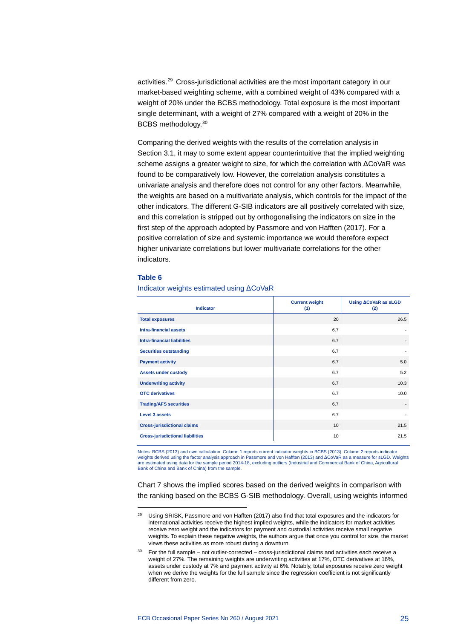activities.[29](#page-25-0) Cross-jurisdictional activities are the most important category in our market-based weighting scheme, with a combined weight of 43% compared with a weight of 20% under the BCBS methodology. Total exposure is the most important single determinant, with a weight of 27% compared with a weight of 20% in the BCBS methodology.[30](#page-25-1)

Comparing the derived weights with the results of the correlation analysis in Section 3.1, it may to some extent appear counterintuitive that the implied weighting scheme assigns a greater weight to size, for which the correlation with ΔCoVaR was found to be comparatively low. However, the correlation analysis constitutes a univariate analysis and therefore does not control for any other factors. Meanwhile, the weights are based on a multivariate analysis, which controls for the impact of the other indicators. The different G-SIB indicators are all positively correlated with size, and this correlation is stripped out by orthogonalising the indicators on size in the first step of the approach adopted by Passmore and von Hafften (2017). For a positive correlation of size and systemic importance we would therefore expect higher univariate correlations but lower multivariate correlations for the other indicators.

### **Table 6**

| <b>Indicator</b>                        | <b>Current weight</b><br>(1) | Using <b>ACoVaR</b> as sLGD<br>(2) |
|-----------------------------------------|------------------------------|------------------------------------|
| <b>Total exposures</b>                  | 20                           | 26.5                               |
| <b>Intra-financial assets</b>           | 6.7                          |                                    |
| <b>Intra-financial liabilities</b>      | 6.7                          |                                    |
| <b>Securities outstanding</b>           | 6.7                          | ۰                                  |
| <b>Payment activity</b>                 | 6.7                          | 5.0                                |
| <b>Assets under custody</b>             | 6.7                          | 5.2                                |
| <b>Underwriting activity</b>            | 6.7                          | 10.3                               |
| <b>OTC</b> derivatives                  | 6.7                          | 10.0                               |
| <b>Trading/AFS securities</b>           | 6.7                          | $\overline{\phantom{a}}$           |
| <b>Level 3 assets</b>                   | 6.7                          |                                    |
| <b>Cross-jurisdictional claims</b>      | 10                           | 21.5                               |
| <b>Cross-jurisdictional liabilities</b> | 10                           | 21.5                               |

### Indicator weights estimated using ΔCoVaR

Notes: BCBS (2013) and own calculation. Column 1 reports current indicator weights in BCBS (2013). Column 2 reports indicator weights derived using the factor analysis approach in Passmore and von Hafften (2013) and ΔCoVaR as a measure for sLGD. Weights<br>are estimated using data for the sample period 2014-18, excluding outliers (Industrial and Co Bank of China and Bank of China) from the sample.

Chart 7 shows the implied scores based on the derived weights in comparison with the ranking based on the BCBS G-SIB methodology. Overall, using weights informed

<span id="page-25-0"></span><sup>&</sup>lt;sup>29</sup> Using SRISK, Passmore and von Hafften (2017) also find that total exposures and the indicators for international activities receive the highest implied weights, while the indicators for market activities receive zero weight and the indicators for payment and custodial activities receive small negative weights. To explain these negative weights, the authors argue that once you control for size, the market views these activities as more robust during a downturn.

<span id="page-25-1"></span> $30$  For the full sample – not outlier-corrected – cross-jurisdictional claims and activities each receive a weight of 27%. The remaining weights are underwriting activities at 17%, OTC derivatives at 16%, assets under custody at 7% and payment activity at 6%. Notably, total exposures receive zero weight when we derive the weights for the full sample since the regression coefficient is not significantly different from zero.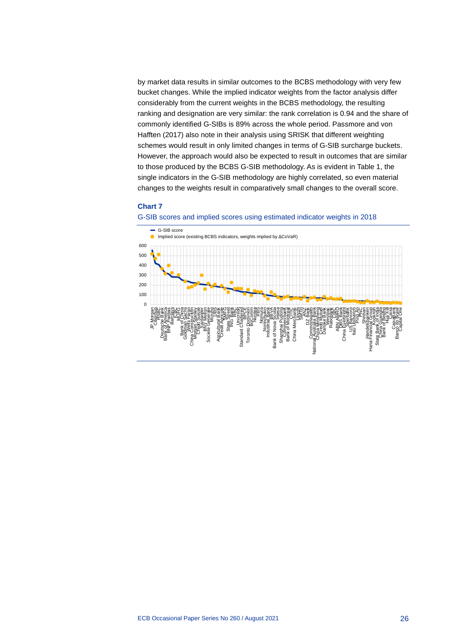by market data results in similar outcomes to the BCBS methodology with very few bucket changes. While the implied indicator weights from the factor analysis differ considerably from the current weights in the BCBS methodology, the resulting ranking and designation are very similar: the rank correlation is 0.94 and the share of commonly identified G-SIBs is 89% across the whole period. Passmore and von Hafften (2017) also note in their analysis using SRISK that different weighting schemes would result in only limited changes in terms of G-SIB surcharge buckets. However, the approach would also be expected to result in outcomes that are similar to those produced by the BCBS G-SIB methodology. As is evident in Table 1, the single indicators in the G-SIB methodology are highly correlated, so even material changes to the weights result in comparatively small changes to the overall score.

### **Chart 7**



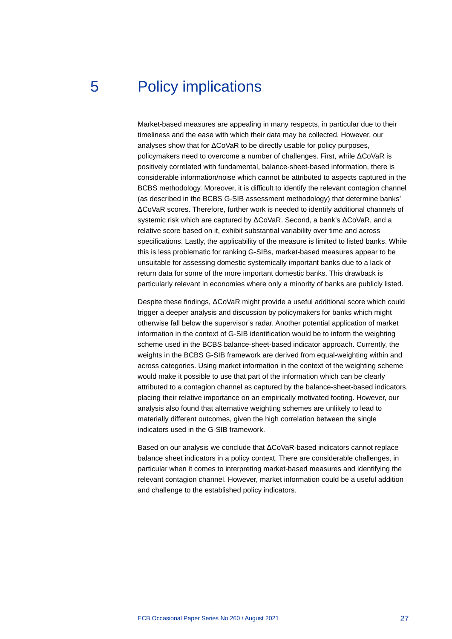## 5 Policy implications

<span id="page-27-0"></span>Market-based measures are appealing in many respects, in particular due to their timeliness and the ease with which their data may be collected. However, our analyses show that for ΔCoVaR to be directly usable for policy purposes, policymakers need to overcome a number of challenges. First, while ΔCoVaR is positively correlated with fundamental, balance-sheet-based information, there is considerable information/noise which cannot be attributed to aspects captured in the BCBS methodology. Moreover, it is difficult to identify the relevant contagion channel (as described in the BCBS G-SIB assessment methodology) that determine banks' ΔCoVaR scores. Therefore, further work is needed to identify additional channels of systemic risk which are captured by ΔCoVaR. Second, a bank's ΔCoVaR, and a relative score based on it, exhibit substantial variability over time and across specifications. Lastly, the applicability of the measure is limited to listed banks. While this is less problematic for ranking G-SIBs, market-based measures appear to be unsuitable for assessing domestic systemically important banks due to a lack of return data for some of the more important domestic banks. This drawback is particularly relevant in economies where only a minority of banks are publicly listed.

Despite these findings, ΔCoVaR might provide a useful additional score which could trigger a deeper analysis and discussion by policymakers for banks which might otherwise fall below the supervisor's radar. Another potential application of market information in the context of G-SIB identification would be to inform the weighting scheme used in the BCBS balance-sheet-based indicator approach. Currently, the weights in the BCBS G-SIB framework are derived from equal-weighting within and across categories. Using market information in the context of the weighting scheme would make it possible to use that part of the information which can be clearly attributed to a contagion channel as captured by the balance-sheet-based indicators, placing their relative importance on an empirically motivated footing. However, our analysis also found that alternative weighting schemes are unlikely to lead to materially different outcomes, given the high correlation between the single indicators used in the G-SIB framework.

Based on our analysis we conclude that ΔCoVaR-based indicators cannot replace balance sheet indicators in a policy context. There are considerable challenges, in particular when it comes to interpreting market-based measures and identifying the relevant contagion channel. However, market information could be a useful addition and challenge to the established policy indicators.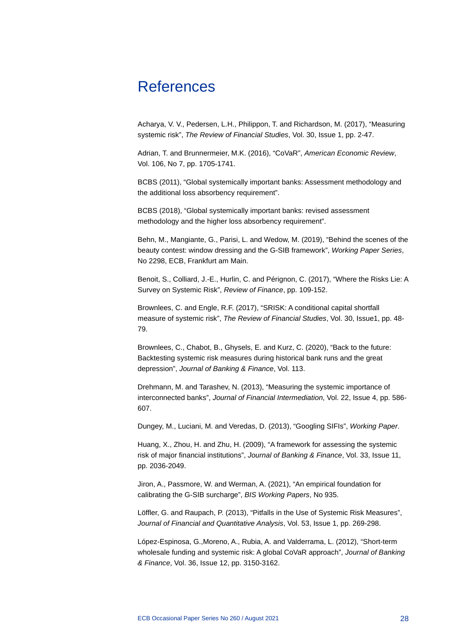## <span id="page-28-0"></span>References

Acharya, V. V., Pedersen, L.H., Philippon, T. and Richardson, M. (2017), "Measuring systemic risk", *The Review of Financial Studies*, Vol. 30, Issue 1, pp. 2-47.

Adrian, T. and Brunnermeier, M.K. (2016), "CoVaR", *American Economic Review*, Vol. 106, No 7, pp. 1705-1741.

BCBS (2011), "Global systemically important banks: Assessment methodology and the additional loss absorbency requirement".

BCBS (2018), "Global systemically important banks: revised assessment methodology and the higher loss absorbency requirement".

Behn, M., Mangiante, G., Parisi, L. and Wedow, M. (2019), "Behind the scenes of the beauty contest: window dressing and the G-SIB framework", *Working Paper Series*, No 2298, ECB, Frankfurt am Main.

Benoit, S., Colliard, J.-E., Hurlin, C. and Pérignon, C. (2017), "Where the Risks Lie: A Survey on Systemic Risk", *Review of Finance*, pp. 109-152.

Brownlees, C. and Engle, R.F. (2017), "SRISK: A conditional capital shortfall measure of systemic risk", *The Review of Financial Studies*, Vol. 30, Issue1, pp. 48- 79.

Brownlees, C., Chabot, B., Ghysels, E. and Kurz, C. (2020), "Back to the future: Backtesting systemic risk measures during historical bank runs and the great depression", *Journal of Banking & Finance*, Vol. 113.

Drehmann, M. and Tarashev, N. (2013), "Measuring the systemic importance of interconnected banks", *Journal of Financial Intermediation*, Vol. 22, Issue 4, pp. 586- 607.

Dungey, M., Luciani, M. and Veredas, D. (2013), "Googling SIFIs", *Working Paper*.

Huang, X., Zhou, H. and Zhu, H. (2009), "A framework for assessing the systemic risk of major financial institutions", *Journal of Banking & Finance*, Vol. 33, Issue 11, pp. 2036-2049.

Jiron, A., Passmore, W. and Werman, A. (2021), "An empirical foundation for calibrating the G-SIB surcharge", *BIS Working Papers*, No 935.

Löffler, G. and Raupach, P. (2013), "Pitfalls in the Use of Systemic Risk Measures", *Journal of Financial and Quantitative Analysis*, Vol. 53, Issue 1, pp. 269-298.

López-Espinosa, G.,Moreno, A., Rubia, A. and Valderrama, L. (2012), "Short-term wholesale funding and systemic risk: A global CoVaR approach", *Journal of Banking & Finance*, Vol. 36, Issue 12, pp. 3150-3162.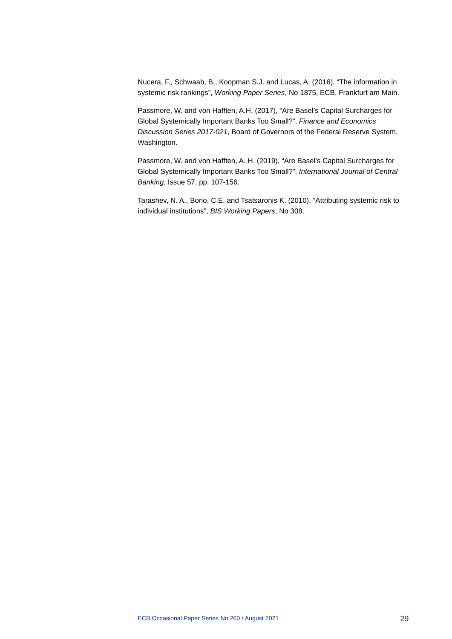Nucera, F., Schwaab, B., Koopman S.J. and Lucas, A. (2016), "The information in systemic risk rankings", *Working Paper Series*, No 1875, ECB, Frankfurt am Main.

Passmore, W. and von Hafften, A.H. (2017), "Are Basel's Capital Surcharges for Global Systemically Important Banks Too Small?", *Finance and Economics Discussion Series 2017-021*, Board of Governors of the Federal Reserve System, Washington.

Passmore, W. and von Hafften, A. H. (2019), "Are Basel's Capital Surcharges for Global Systemically Important Banks Too Small?", *International Journal of Central Banking*, Issue 57, pp. 107-156.

Tarashev, N. A., Borio, C.E. and Tsatsaronis K. (2010), "Attributing systemic risk to individual institutions", *BIS Working Papers*, No 308.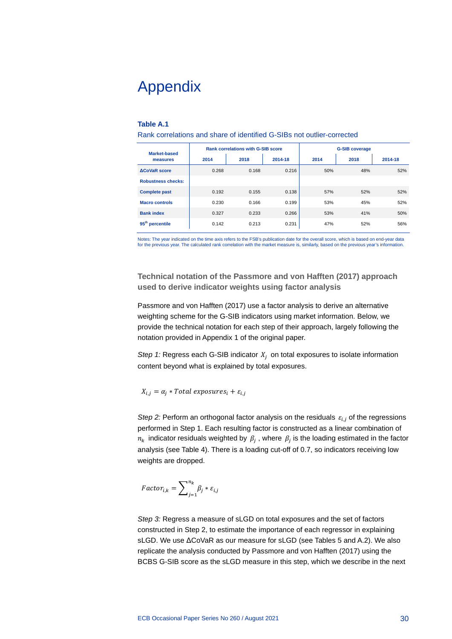# <span id="page-30-0"></span>Appendix

### **Table A.1**

Rank correlations and share of identified G-SIBs not outlier-corrected

| <b>Market-based</b>         |       | <b>Rank correlations with G-SIB score</b> |         | <b>G-SIB coverage</b> |      |         |
|-----------------------------|-------|-------------------------------------------|---------|-----------------------|------|---------|
| measures                    | 2014  | 2018                                      | 2014-18 | 2014                  | 2018 | 2014-18 |
| <b>ACoVaR</b> score         | 0.268 | 0.168                                     | 0.216   | 50%                   | 48%  | 52%     |
| <b>Robustness checks:</b>   |       |                                           |         |                       |      |         |
| <b>Complete past</b>        | 0.192 | 0.155                                     | 0.138   | 57%                   | 52%  | 52%     |
| <b>Macro controls</b>       | 0.230 | 0.166                                     | 0.199   | 53%                   | 45%  | 52%     |
| <b>Bank index</b>           | 0.327 | 0.233                                     | 0.266   | 53%                   | 41%  | 50%     |
| 95 <sup>th</sup> percentile | 0.142 | 0.213                                     | 0.231   | 47%                   | 52%  | 56%     |

Notes: The year indicated on the time axis refers to the FSB's publication date for the overall score, which is based on end-year data for the previous year. The calculated rank correlation with the market measure is, similarly, based on the previous year's information.

**Technical notation of the Passmore and von Hafften (2017) approach used to derive indicator weights using factor analysis**

Passmore and von Hafften (2017) use a factor analysis to derive an alternative weighting scheme for the G-SIB indicators using market information. Below, we provide the technical notation for each step of their approach, largely following the notation provided in Appendix 1 of the original paper.

*Step 1:* Regress each G-SIB indicator  $X_i$  on total exposures to isolate information content beyond what is explained by total exposures.

 $X_{i,j} = \alpha_j * Total\ exposures_i + \varepsilon_{i,j}$ 

*Step 2:* Perform an orthogonal factor analysis on the residuals  $\varepsilon_{i,j}$  of the regressions performed in Step 1. Each resulting factor is constructed as a linear combination of  $n_k$  indicator residuals weighted by  $\beta_i$ , where  $\beta_i$  is the loading estimated in the factor analysis (see Table 4). There is a loading cut-off of 0.7, so indicators receiving low weights are dropped.

$$
Factor_{i,k} = \sum\nolimits_{j=1}^{n_k}\beta_j * \varepsilon_{i,j}
$$

*Step 3:* Regress a measure of sLGD on total exposures and the set of factors constructed in Step 2, to estimate the importance of each regressor in explaining sLGD. We use ΔCoVaR as our measure for sLGD (see Tables 5 and A.2). We also replicate the analysis conducted by Passmore and von Hafften (2017) using the BCBS G-SIB score as the sLGD measure in this step, which we describe in the next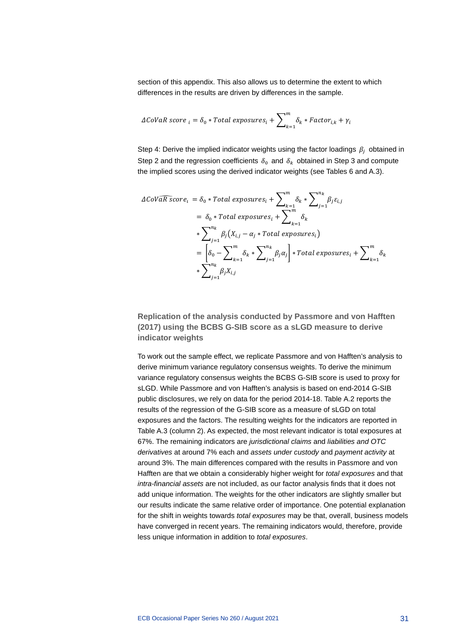section of this appendix. This also allows us to determine the extent to which differences in the results are driven by differences in the sample.

$$
\Delta \text{CoVaR score}_{i} = \delta_0 * \text{Total exposures}_{i} + \sum\nolimits_{k=1}^{m} \delta_k * \text{Factor}_{i,k} + \gamma_i
$$

Step 4: Derive the implied indicator weights using the factor loadings  $\beta_i$  obtained in Step 2 and the regression coefficients  $\delta_0$  and  $\delta_k$  obtained in Step 3 and compute the implied scores using the derived indicator weights (see Tables 6 and A.3).

$$
\Delta Cov\widehat{aR \space score_i} = \delta_0 * Total \space exposures_i + \sum_{k=1}^{m} \delta_k * \sum_{j=1}^{n_k} \beta_j \varepsilon_{i,j}
$$
\n
$$
= \delta_0 * Total \space exposures_i + \sum_{k=1}^{m} \delta_k
$$
\n
$$
* \sum_{j=1}^{n_k} \beta_j (X_{i,j} - \alpha_j * Total \space exposures_i)
$$
\n
$$
= \left[ \delta_0 - \sum_{k=1}^{m} \delta_k * \sum_{j=1}^{n_k} \beta_j \alpha_j \right] * Total \space exposures_i + \sum_{k=1}^{m} \delta_k
$$
\n
$$
* \sum_{j=1}^{n_k} \beta_j X_{i,j}
$$

**Replication of the analysis conducted by Passmore and von Hafften (2017) using the BCBS G-SIB score as a sLGD measure to derive indicator weights**

To work out the sample effect, we replicate Passmore and von Hafften's analysis to derive minimum variance regulatory consensus weights. To derive the minimum variance regulatory consensus weights the BCBS G-SIB score is used to proxy for sLGD. While Passmore and von Hafften's analysis is based on end-2014 G-SIB public disclosures, we rely on data for the period 2014-18. Table A.2 reports the results of the regression of the G-SIB score as a measure of sLGD on total exposures and the factors. The resulting weights for the indicators are reported in Table A.3 (column 2). As expected, the most relevant indicator is total exposures at 67%. The remaining indicators are *jurisdictional claims* and *liabilities and OTC derivatives* at around 7% each and *assets under custody* and *payment activity* at around 3%. The main differences compared with the results in Passmore and von Hafften are that we obtain a considerably higher weight for *total exposures* and that *intra-financial assets* are not included, as our factor analysis finds that it does not add unique information. The weights for the other indicators are slightly smaller but our results indicate the same relative order of importance. One potential explanation for the shift in weights towards *total exposures* may be that, overall, business models have converged in recent years. The remaining indicators would, therefore, provide less unique information in addition to *total exposures*.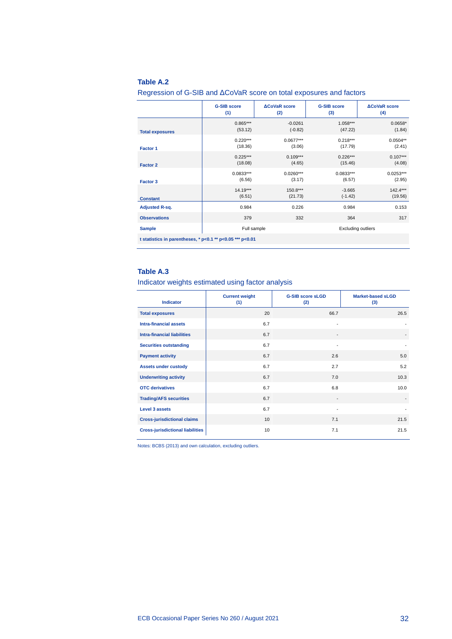### **Table A.2**

Regression of G-SIB and ΔCoVaR score on total exposures and factors

|                                                                 | <b>G-SIB score</b> | <b>ACoVaR</b> score | <b>G-SIB score</b> | <b>ACoVaR</b> score       |  |  |
|-----------------------------------------------------------------|--------------------|---------------------|--------------------|---------------------------|--|--|
|                                                                 | (1)                | (2)                 | (3)                | (4)                       |  |  |
| <b>Total exposures</b>                                          | $0.865***$         | $-0.0261$           | $1.058***$         | $0.0658*$                 |  |  |
|                                                                 | (53.12)            | $(-0.82)$           | (47.22)            | (1.84)                    |  |  |
| Factor 1                                                        | $0.220***$         | $0.0677***$         | $0.218***$         | $0.0504**$                |  |  |
|                                                                 | (18.36)            | (3.06)              | (17.79)            | (2.41)                    |  |  |
| <b>Factor 2</b>                                                 | $0.225***$         | $0.109***$          | $0.226***$         | $0.107***$                |  |  |
|                                                                 | (18.08)            | (4.65)              | (15.46)            | (4.08)                    |  |  |
| Factor 3                                                        | $0.0833***$        | $0.0260***$         | $0.0833***$        | $0.0253***$               |  |  |
|                                                                 | (6.56)             | (3.17)              | (6.57)             | (2.95)                    |  |  |
| <b>Constant</b>                                                 | $14.19***$         | $150.8***$          | $-3.665$           | $142.4***$                |  |  |
|                                                                 | (6.51)             | (21.73)             | $(-1.42)$          | (19.56)                   |  |  |
| <b>Adjusted R-sq.</b>                                           | 0.984              | 0.226               | 0.984              | 0.153                     |  |  |
| <b>Observations</b>                                             | 379                | 332                 | 364                | 317                       |  |  |
| <b>Sample</b>                                                   | Full sample        |                     |                    | <b>Excluding outliers</b> |  |  |
| t statistics in parentheses, * $p<0.1$ ** $p<0.05$ *** $p<0.01$ |                    |                     |                    |                           |  |  |

### **Table A.3**

Indicator weights estimated using factor analysis

| <b>Indicator</b>                        | <b>Current weight</b><br>(1) | <b>G-SIB score sLGD</b><br>(2) | <b>Market-based sLGD</b><br>(3) |
|-----------------------------------------|------------------------------|--------------------------------|---------------------------------|
| <b>Total exposures</b>                  | 20                           | 66.7                           | 26.5                            |
| <b>Intra-financial assets</b>           | 6.7                          | $\overline{a}$                 |                                 |
| <b>Intra-financial liabilities</b>      | 6.7                          |                                |                                 |
| <b>Securities outstanding</b>           | 6.7                          |                                |                                 |
| <b>Payment activity</b>                 | 6.7                          | 2.6                            | 5.0                             |
| <b>Assets under custody</b>             | 6.7                          | 2.7                            | 5.2                             |
| <b>Underwriting activity</b>            | 6.7                          | 7.0                            | 10.3                            |
| <b>OTC</b> derivatives                  | 6.7                          | 6.8                            | 10.0                            |
| <b>Trading/AFS securities</b>           | 6.7                          |                                |                                 |
| <b>Level 3 assets</b>                   | 6.7                          | ٠                              |                                 |
| <b>Cross-jurisdictional claims</b>      | 10                           | 7.1                            | 21.5                            |
| <b>Cross-jurisdictional liabilities</b> | 10                           | 7.1                            | 21.5                            |

Notes: BCBS (2013) and own calculation, excluding outliers.